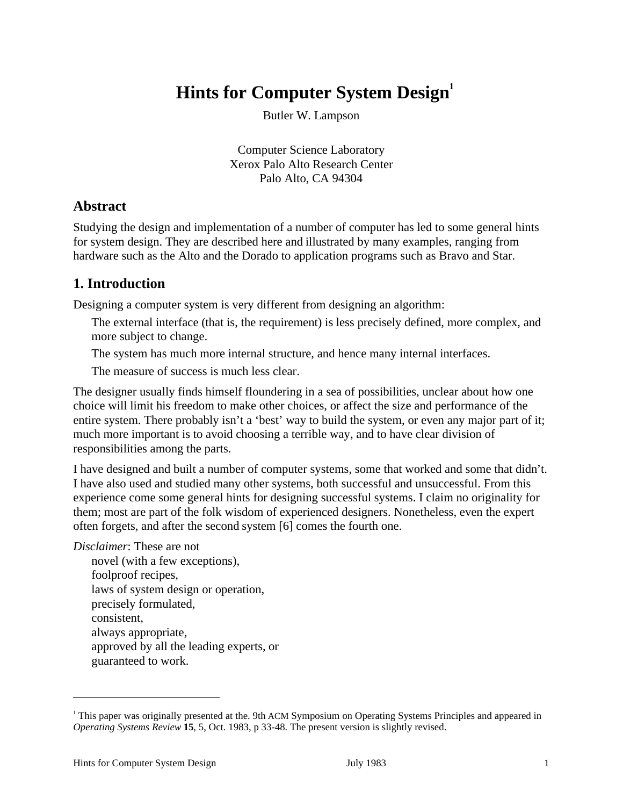# **Hints for Computer System Design<sup>1</sup>**

Butler W. Lampson

Computer Science Laboratory Xerox Palo Alto Research Center Palo Alto, CA 94304

# **Abstract**

Studying the design and implementation of a number of computer has led to some general hints for system design. They are described here and illustrated by many examples, ranging from hardware such as the Alto and the Dorado to application programs such as Bravo and Star.

# **1. Introduction**

Designing a computer system is very different from designing an algorithm:

The external interface (that is, the requirement) is less precisely defined, more complex, and more subject to change.

The system has much more internal structure, and hence many internal interfaces.

The measure of success is much less clear.

The designer usually finds himself floundering in a sea of possibilities, unclear about how one choice will limit his freedom to make other choices, or affect the size and performance of the entire system. There probably isn't a 'best' way to build the system, or even any major part of it; much more important is to avoid choosing a terrible way, and to have clear division of responsibilities among the parts.

I have designed and built a number of computer systems, some that worked and some that didn't. I have also used and studied many other systems, both successful and unsuccessful. From this experience come some general hints for designing successful systems. I claim no originality for them; most are part of the folk wisdom of experienced designers. Nonetheless, even the expert often forgets, and after the second system [6] comes the fourth one.

*Disclaimer*: These are not

novel (with a few exceptions), foolproof recipes, laws of system design or operation, precisely formulated, consistent, always appropriate, approved by all the leading experts, or guaranteed to work.

l

<sup>&</sup>lt;sup>1</sup> This paper was originally presented at the. 9th ACM Symposium on Operating Systems Principles and appeared in *Operating Systems Review* **15**, 5, Oct. 1983, p 33-48. The present version is slightly revised.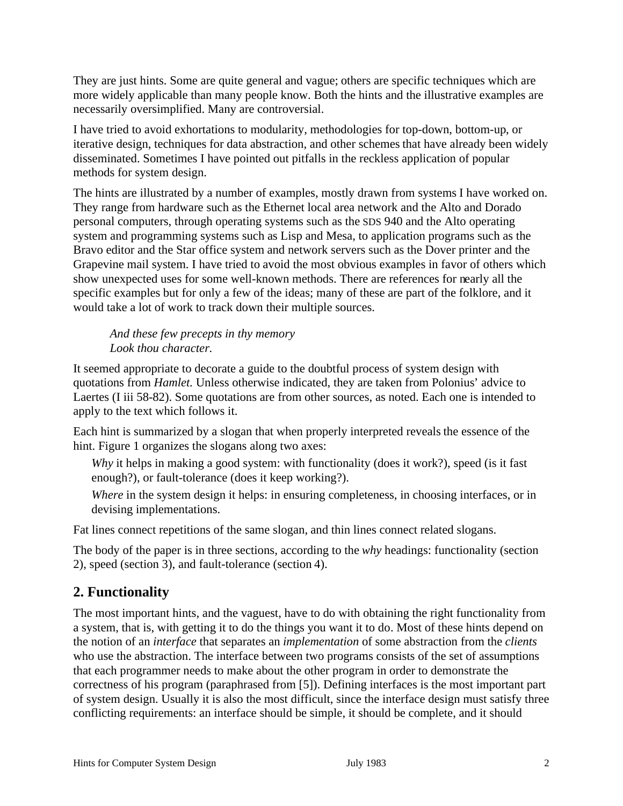They are just hints. Some are quite general and vague; others are specific techniques which are more widely applicable than many people know. Both the hints and the illustrative examples are necessarily oversimplified. Many are controversial.

I have tried to avoid exhortations to modularity, methodologies for top-down, bottom-up, or iterative design, techniques for data abstraction, and other schemes that have already been widely disseminated. Sometimes I have pointed out pitfalls in the reckless application of popular methods for system design.

The hints are illustrated by a number of examples, mostly drawn from systems I have worked on. They range from hardware such as the Ethernet local area network and the Alto and Dorado personal computers, through operating systems such as the SDS 940 and the Alto operating system and programming systems such as Lisp and Mesa, to application programs such as the Bravo editor and the Star office system and network servers such as the Dover printer and the Grapevine mail system. I have tried to avoid the most obvious examples in favor of others which show unexpected uses for some well-known methods. There are references for nearly all the specific examples but for only a few of the ideas; many of these are part of the folklore, and it would take a lot of work to track down their multiple sources.

### *And these few precepts in thy memory Look thou character.*

It seemed appropriate to decorate a guide to the doubtful process of system design with quotations from *Hamlet.* Unless otherwise indicated, they are taken from Polonius' advice to Laertes (I iii 58-82). Some quotations are from other sources, as noted. Each one is intended to apply to the text which follows it.

Each hint is summarized by a slogan that when properly interpreted reveals the essence of the hint. Figure 1 organizes the slogans along two axes:

*Why* it helps in making a good system: with functionality (does it work?), speed (is it fast enough?), or fault-tolerance (does it keep working?).

*Where* in the system design it helps: in ensuring completeness, in choosing interfaces, or in devising implementations.

Fat lines connect repetitions of the same slogan, and thin lines connect related slogans.

The body of the paper is in three sections, according to the *why* headings: functionality (section 2), speed (section 3), and fault-tolerance (section 4).

# **2. Functionality**

The most important hints, and the vaguest, have to do with obtaining the right functionality from a system, that is, with getting it to do the things you want it to do. Most of these hints depend on the notion of an *interface* that separates an *implementation* of some abstraction from the *clients* who use the abstraction. The interface between two programs consists of the set of assumptions that each programmer needs to make about the other program in order to demonstrate the correctness of his program (paraphrased from [5]). Defining interfaces is the most important part of system design. Usually it is also the most difficult, since the interface design must satisfy three conflicting requirements: an interface should be simple, it should be complete, and it should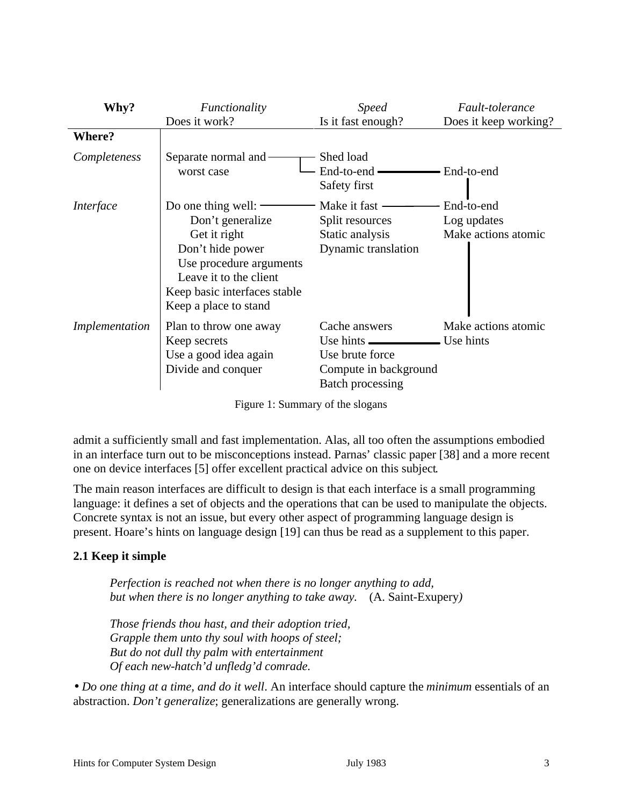| Why?             | Functionality                                                                                                                                                                            | <b>Speed</b>                                                                                                                                                                                                                                                                                                                                                                                                                                                                                                           | Fault-tolerance                                  |
|------------------|------------------------------------------------------------------------------------------------------------------------------------------------------------------------------------------|------------------------------------------------------------------------------------------------------------------------------------------------------------------------------------------------------------------------------------------------------------------------------------------------------------------------------------------------------------------------------------------------------------------------------------------------------------------------------------------------------------------------|--------------------------------------------------|
|                  | Does it work?                                                                                                                                                                            | Is it fast enough?                                                                                                                                                                                                                                                                                                                                                                                                                                                                                                     | Does it keep working?                            |
| Where?           |                                                                                                                                                                                          |                                                                                                                                                                                                                                                                                                                                                                                                                                                                                                                        |                                                  |
| Completeness     | Separate normal and —<br>worst case                                                                                                                                                      | Shed load<br>End-to-end —<br>Safety first                                                                                                                                                                                                                                                                                                                                                                                                                                                                              | End-to-end                                       |
| <i>Interface</i> | Do one thing well:<br>Don't generalize<br>Get it right<br>Don't hide power<br>Use procedure arguments<br>Leave it to the client<br>Keep basic interfaces stable<br>Keep a place to stand | Make it fast $-$<br>Split resources<br>Static analysis<br>Dynamic translation                                                                                                                                                                                                                                                                                                                                                                                                                                          | End-to-end<br>Log updates<br>Make actions atomic |
| Implementation   | Plan to throw one away<br>Keep secrets<br>Use a good idea again<br>Divide and conquer                                                                                                    | Cache answers<br>Use hints $\frac{1}{\sqrt{1-\frac{1}{2}}\cdot\sqrt{1-\frac{1}{2}}\cdot\sqrt{1-\frac{1}{2}}\cdot\sqrt{1-\frac{1}{2}}\cdot\sqrt{1-\frac{1}{2}}\cdot\sqrt{1-\frac{1}{2}}\cdot\sqrt{1-\frac{1}{2}}\cdot\sqrt{1-\frac{1}{2}}\cdot\sqrt{1-\frac{1}{2}}\cdot\sqrt{1-\frac{1}{2}}\cdot\sqrt{1-\frac{1}{2}}\cdot\sqrt{1-\frac{1}{2}}\cdot\sqrt{1-\frac{1}{2}}\cdot\sqrt{1-\frac{1}{2}}\cdot\sqrt{1-\frac{1}{2}}\cdot\sqrt{1-\frac{1}{2$<br>Use brute force<br>Compute in background<br><b>Batch processing</b> | Make actions atomic<br>Use hints                 |

Figure 1: Summary of the slogans

admit a sufficiently small and fast implementation. Alas, all too often the assumptions embodied in an interface turn out to be misconceptions instead. Parnas' classic paper [38] and a more recent one on device interfaces [5] offer excellent practical advice on this subject.

The main reason interfaces are difficult to design is that each interface is a small programming language: it defines a set of objects and the operations that can be used to manipulate the objects. Concrete syntax is not an issue, but every other aspect of programming language design is present. Hoare's hints on language design [19] can thus be read as a supplement to this paper.

### **2.1 Keep it simple**

*Perfection is reached not when there is no longer anything to add, but when there is no longer anything to take away.* (A. Saint-Exupery*)*

*Those friends thou hast, and their adoption tried, Grapple them unto thy soul with hoops of steel; But do not dull thy palm with entertainment Of each new-hatch'd unfledg'd comrade.*

• *Do one thing at a time, and do it well*. An interface should capture the *minimum* essentials of an abstraction. *Don't generalize*; generalizations are generally wrong.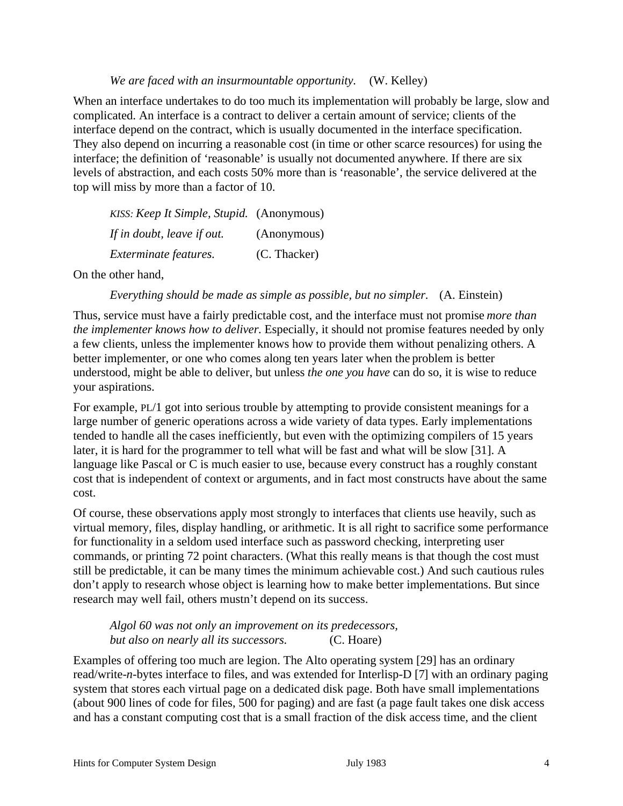### *We are faced with an insurmountable opportunity.* (W. Kelley)

When an interface undertakes to do too much its implementation will probably be large, slow and complicated. An interface is a contract to deliver a certain amount of service; clients of the interface depend on the contract, which is usually documented in the interface specification. They also depend on incurring a reasonable cost (in time or other scarce resources) for using the interface; the definition of 'reasonable' is usually not documented anywhere. If there are six levels of abstraction, and each costs 50% more than is 'reasonable', the service delivered at the top will miss by more than a factor of 10.

| KISS: Keep It Simple, Stupid. (Anonymous) |              |
|-------------------------------------------|--------------|
| If in doubt, leave if out.                | (Anonymous)  |
| Exterminate features.                     | (C. Thacker) |

On the other hand,

*Everything should be made as simple as possible, but no simpler.* (A. Einstein)

Thus, service must have a fairly predictable cost, and the interface must not promise *more than the implementer knows how to deliver.* Especially, it should not promise features needed by only a few clients, unless the implementer knows how to provide them without penalizing others. A better implementer, or one who comes along ten years later when the problem is better understood, might be able to deliver, but unless *the one you have* can do so, it is wise to reduce your aspirations.

For example, PL/1 got into serious trouble by attempting to provide consistent meanings for a large number of generic operations across a wide variety of data types. Early implementations tended to handle all the cases inefficiently, but even with the optimizing compilers of 15 years later, it is hard for the programmer to tell what will be fast and what will be slow [31]. A language like Pascal or C is much easier to use, because every construct has a roughly constant cost that is independent of context or arguments, and in fact most constructs have about the same cost.

Of course, these observations apply most strongly to interfaces that clients use heavily, such as virtual memory, files, display handling, or arithmetic. It is all right to sacrifice some performance for functionality in a seldom used interface such as password checking, interpreting user commands, or printing 72 point characters. (What this really means is that though the cost must still be predictable, it can be many times the minimum achievable cost.) And such cautious rules don't apply to research whose object is learning how to make better implementations. But since research may well fail, others mustn't depend on its success.

### *Algol 60 was not only an improvement on its predecessors, but also on nearly all its successors.* (C. Hoare)

Examples of offering too much are legion. The Alto operating system [29] has an ordinary read/write-*n*-bytes interface to files, and was extended for Interlisp-D [7] with an ordinary paging system that stores each virtual page on a dedicated disk page. Both have small implementations (about 900 lines of code for files, 500 for paging) and are fast (a page fault takes one disk access and has a constant computing cost that is a small fraction of the disk access time, and the client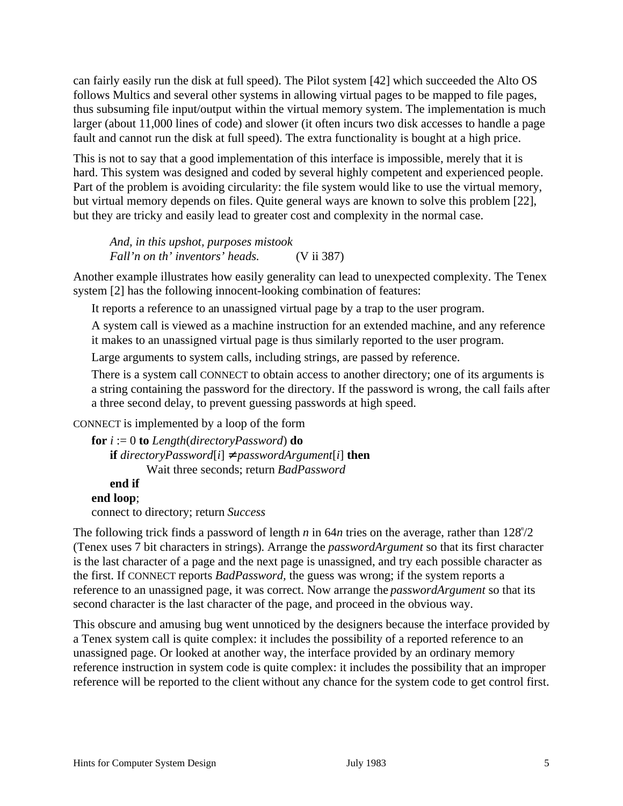can fairly easily run the disk at full speed). The Pilot system [42] which succeeded the Alto OS follows Multics and several other systems in allowing virtual pages to be mapped to file pages, thus subsuming file input/output within the virtual memory system. The implementation is much larger (about 11,000 lines of code) and slower (it often incurs two disk accesses to handle a page fault and cannot run the disk at full speed). The extra functionality is bought at a high price.

This is not to say that a good implementation of this interface is impossible, merely that it is hard. This system was designed and coded by several highly competent and experienced people. Part of the problem is avoiding circularity: the file system would like to use the virtual memory, but virtual memory depends on files. Quite general ways are known to solve this problem [22], but they are tricky and easily lead to greater cost and complexity in the normal case.

*And, in this upshot, purposes mistook Fall'n on th' inventors' heads.* (V ii 387)

Another example illustrates how easily generality can lead to unexpected complexity. The Tenex system [2] has the following innocent-looking combination of features:

It reports a reference to an unassigned virtual page by a trap to the user program.

A system call is viewed as a machine instruction for an extended machine, and any reference it makes to an unassigned virtual page is thus similarly reported to the user program.

Large arguments to system calls, including strings, are passed by reference.

There is a system call CONNECT to obtain access to another directory; one of its arguments is a string containing the password for the directory. If the password is wrong, the call fails after a three second delay, to prevent guessing passwords at high speed.

CONNECT is implemented by a loop of the form

```
for i := 0 to Length(directoryPassword) do
   if directoryPassword[i] \neq passwordArgument[i] then
          Wait three seconds; return BadPassword
   end if
```
**end loop**;

connect to directory; return *Success*

The following trick finds a password of length  $n$  in  $64n$  tries on the average, rather than  $128$ <sup>n</sup>/2 (Tenex uses 7 bit characters in strings). Arrange the *passwordArgument* so that its first character is the last character of a page and the next page is unassigned, and try each possible character as the first. If CONNECT reports *BadPassword,* the guess was wrong; if the system reports a reference to an unassigned page, it was correct. Now arrange the *passwordArgument* so that its second character is the last character of the page, and proceed in the obvious way.

This obscure and amusing bug went unnoticed by the designers because the interface provided by a Tenex system call is quite complex: it includes the possibility of a reported reference to an unassigned page. Or looked at another way, the interface provided by an ordinary memory reference instruction in system code is quite complex: it includes the possibility that an improper reference will be reported to the client without any chance for the system code to get control first.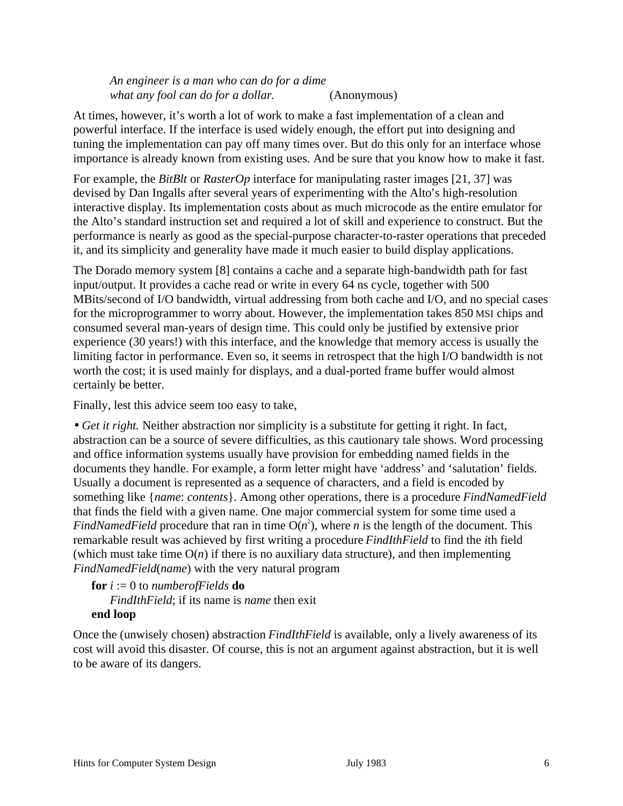*An engineer is a man who can do for a dime what any fool can do for a dollar.* (Anonymous)

At times, however, it's worth a lot of work to make a fast implementation of a clean and powerful interface. If the interface is used widely enough, the effort put into designing and tuning the implementation can pay off many times over. But do this only for an interface whose importance is already known from existing uses. And be sure that you know how to make it fast.

For example, the *BitBlt* or *RasterOp* interface for manipulating raster images [21, 37] was devised by Dan Ingalls after several years of experimenting with the Alto's high-resolution interactive display. Its implementation costs about as much microcode as the entire emulator for the Alto's standard instruction set and required a lot of skill and experience to construct. But the performance is nearly as good as the special-purpose character-to-raster operations that preceded it, and its simplicity and generality have made it much easier to build display applications.

The Dorado memory system [8] contains a cache and a separate high-bandwidth path for fast input/output. It provides a cache read or write in every 64 ns cycle, together with 500 MBits/second of I/O bandwidth, virtual addressing from both cache and I/O, and no special cases for the microprogrammer to worry about. However, the implementation takes 850 MSI chips and consumed several man-years of design time. This could only be justified by extensive prior experience (30 years!) with this interface, and the knowledge that memory access is usually the limiting factor in performance. Even so, it seems in retrospect that the high I/O bandwidth is not worth the cost; it is used mainly for displays, and a dual-ported frame buffer would almost certainly be better.

Finally, lest this advice seem too easy to take,

• Get it right. Neither abstraction nor simplicity is a substitute for getting it right. In fact, abstraction can be a source of severe difficulties, as this cautionary tale shows. Word processing and office information systems usually have provision for embedding named fields in the documents they handle. For example, a form letter might have 'address' and 'salutation' fields. Usually a document is represented as a sequence of characters, and a field is encoded by something like {*name*: *contents*}. Among other operations, there is a procedure *FindNamedField* that finds the field with a given name. One major commercial system for some time used a *FindNamedField* procedure that ran in time  $O(n^2)$ , where *n* is the length of the document. This remarkable result was achieved by first writing a procedure *FindIthField* to find the *i*th field (which must take time  $O(n)$  if there is no auxiliary data structure), and then implementing *FindNamedField*(*name*) with the very natural program

**for** *i* := 0 to *numberofFields* **do** *FindIthField*; if its name is *name* then exit **end loop**

Once the (unwisely chosen) abstraction *FindIthField* is available, only a lively awareness of its cost will avoid this disaster. Of course, this is not an argument against abstraction, but it is well to be aware of its dangers.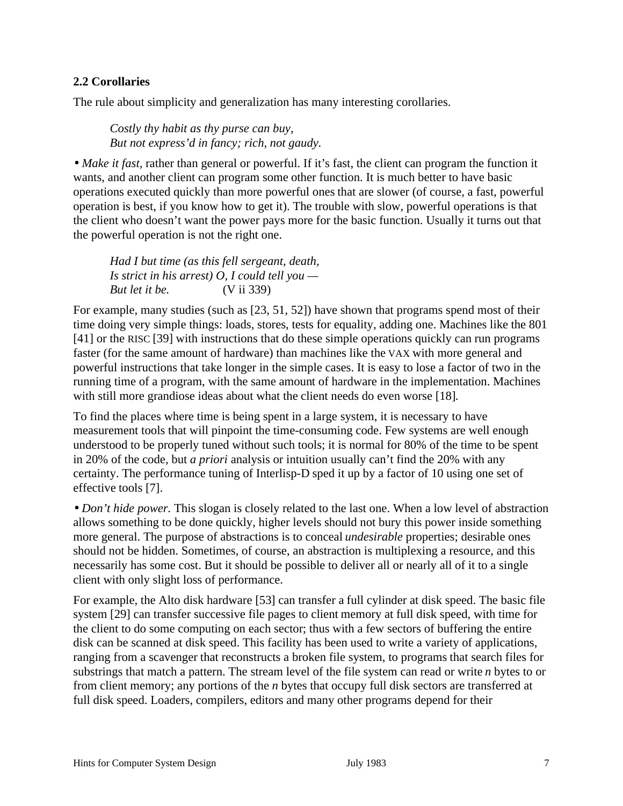### **2.2 Corollaries**

The rule about simplicity and generalization has many interesting corollaries.

*Costly thy habit as thy purse can buy, But not express'd in fancy; rich, not gaudy.*

• *Make it fast*, rather than general or powerful. If it's fast, the client can program the function it wants, and another client can program some other function. It is much better to have basic operations executed quickly than more powerful ones that are slower (of course, a fast, powerful operation is best, if you know how to get it). The trouble with slow, powerful operations is that the client who doesn't want the power pays more for the basic function. Usually it turns out that the powerful operation is not the right one.

*Had I but time (as this fell sergeant, death, Is strict in his arrest) O, I could tell you — But let it be.* (V ii 339)

For example, many studies (such as [23, 51, 52]) have shown that programs spend most of their time doing very simple things: loads, stores, tests for equality, adding one. Machines like the 801 [41] or the RISC [39] with instructions that do these simple operations quickly can run programs faster (for the same amount of hardware) than machines like the VAX with more general and powerful instructions that take longer in the simple cases. It is easy to lose a factor of two in the running time of a program, with the same amount of hardware in the implementation. Machines with still more grandiose ideas about what the client needs do even worse [18].

To find the places where time is being spent in a large system, it is necessary to have measurement tools that will pinpoint the time-consuming code. Few systems are well enough understood to be properly tuned without such tools; it is normal for 80% of the time to be spent in 20% of the code, but *a priori* analysis or intuition usually can't find the 20% with any certainty. The performance tuning of Interlisp-D sped it up by a factor of 10 using one set of effective tools [7].

• *Don't hide power*. This slogan is closely related to the last one. When a low level of abstraction allows something to be done quickly, higher levels should not bury this power inside something more general. The purpose of abstractions is to conceal *undesirable* properties; desirable ones should not be hidden. Sometimes, of course, an abstraction is multiplexing a resource, and this necessarily has some cost. But it should be possible to deliver all or nearly all of it to a single client with only slight loss of performance.

For example, the Alto disk hardware [53] can transfer a full cylinder at disk speed. The basic file system [29] can transfer successive file pages to client memory at full disk speed, with time for the client to do some computing on each sector; thus with a few sectors of buffering the entire disk can be scanned at disk speed. This facility has been used to write a variety of applications, ranging from a scavenger that reconstructs a broken file system, to programs that search files for substrings that match a pattern. The stream level of the file system can read or write *n* bytes to or from client memory; any portions of the *n* bytes that occupy full disk sectors are transferred at full disk speed. Loaders, compilers, editors and many other programs depend for their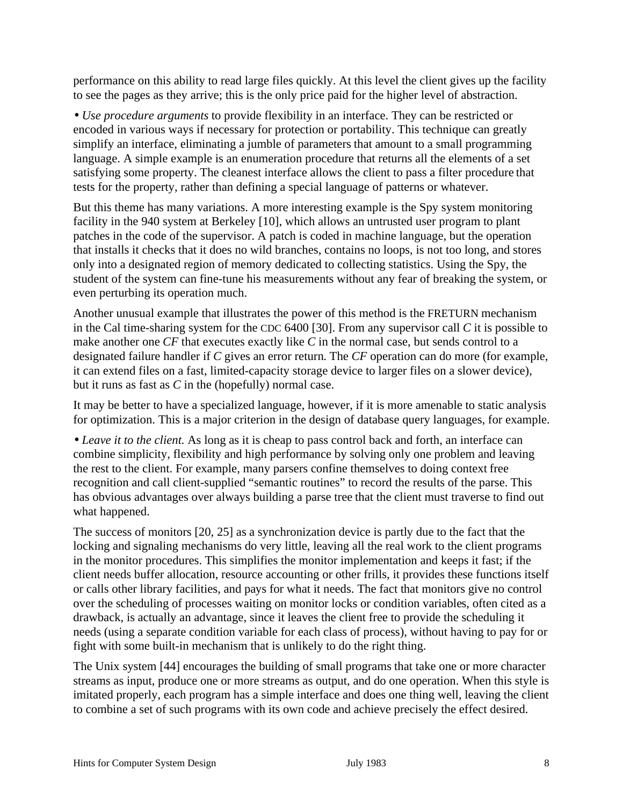performance on this ability to read large files quickly. At this level the client gives up the facility to see the pages as they arrive; this is the only price paid for the higher level of abstraction.

• *Use procedure arguments* to provide flexibility in an interface. They can be restricted or encoded in various ways if necessary for protection or portability. This technique can greatly simplify an interface, eliminating a jumble of parameters that amount to a small programming language. A simple example is an enumeration procedure that returns all the elements of a set satisfying some property. The cleanest interface allows the client to pass a filter procedure that tests for the property, rather than defining a special language of patterns or whatever.

But this theme has many variations. A more interesting example is the Spy system monitoring facility in the 940 system at Berkeley [10], which allows an untrusted user program to plant patches in the code of the supervisor. A patch is coded in machine language, but the operation that installs it checks that it does no wild branches, contains no loops, is not too long, and stores only into a designated region of memory dedicated to collecting statistics. Using the Spy, the student of the system can fine-tune his measurements without any fear of breaking the system, or even perturbing its operation much.

Another unusual example that illustrates the power of this method is the FRETURN mechanism in the Cal time-sharing system for the CDC 6400 [30]. From any supervisor call *C* it is possible to make another one *CF* that executes exactly like *C* in the normal case, but sends control to a designated failure handler if *C* gives an error return. The *CF* operation can do more (for example, it can extend files on a fast, limited-capacity storage device to larger files on a slower device), but it runs as fast as *C* in the (hopefully) normal case.

It may be better to have a specialized language, however, if it is more amenable to static analysis for optimization. This is a major criterion in the design of database query languages, for example.

• *Leave it to the client.* As long as it is cheap to pass control back and forth, an interface can combine simplicity, flexibility and high performance by solving only one problem and leaving the rest to the client. For example, many parsers confine themselves to doing context free recognition and call client-supplied "semantic routines" to record the results of the parse. This has obvious advantages over always building a parse tree that the client must traverse to find out what happened.

The success of monitors [20, 25] as a synchronization device is partly due to the fact that the locking and signaling mechanisms do very little, leaving all the real work to the client programs in the monitor procedures. This simplifies the monitor implementation and keeps it fast; if the client needs buffer allocation, resource accounting or other frills, it provides these functions itself or calls other library facilities, and pays for what it needs. The fact that monitors give no control over the scheduling of processes waiting on monitor locks or condition variables, often cited as a drawback, is actually an advantage, since it leaves the client free to provide the scheduling it needs (using a separate condition variable for each class of process), without having to pay for or fight with some built-in mechanism that is unlikely to do the right thing.

The Unix system [44] encourages the building of small programs that take one or more character streams as input, produce one or more streams as output, and do one operation. When this style is imitated properly, each program has a simple interface and does one thing well, leaving the client to combine a set of such programs with its own code and achieve precisely the effect desired.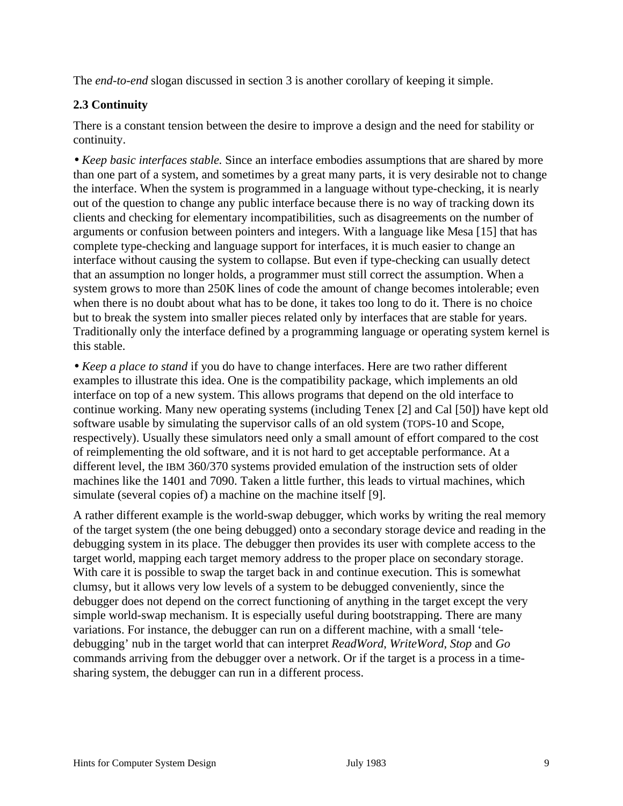The *end-to-end* slogan discussed in section 3 is another corollary of keeping it simple.

### **2.3 Continuity**

There is a constant tension between the desire to improve a design and the need for stability or continuity.

• *Keep basic interfaces stable.* Since an interface embodies assumptions that are shared by more than one part of a system, and sometimes by a great many parts, it is very desirable not to change the interface. When the system is programmed in a language without type-checking, it is nearly out of the question to change any public interface because there is no way of tracking down its clients and checking for elementary incompatibilities, such as disagreements on the number of arguments or confusion between pointers and integers. With a language like Mesa [15] that has complete type-checking and language support for interfaces, it is much easier to change an interface without causing the system to collapse. But even if type-checking can usually detect that an assumption no longer holds, a programmer must still correct the assumption. When a system grows to more than 250K lines of code the amount of change becomes intolerable; even when there is no doubt about what has to be done, it takes too long to do it. There is no choice but to break the system into smaller pieces related only by interfaces that are stable for years. Traditionally only the interface defined by a programming language or operating system kernel is this stable.

• *Keep a place to stand* if you do have to change interfaces. Here are two rather different examples to illustrate this idea. One is the compatibility package, which implements an old interface on top of a new system. This allows programs that depend on the old interface to continue working. Many new operating systems (including Tenex [2] and Cal [50]) have kept old software usable by simulating the supervisor calls of an old system (TOPS-10 and Scope, respectively). Usually these simulators need only a small amount of effort compared to the cost of reimplementing the old software, and it is not hard to get acceptable performance. At a different level, the IBM 360/370 systems provided emulation of the instruction sets of older machines like the 1401 and 7090. Taken a little further, this leads to virtual machines, which simulate (several copies of) a machine on the machine itself [9].

A rather different example is the world-swap debugger, which works by writing the real memory of the target system (the one being debugged) onto a secondary storage device and reading in the debugging system in its place. The debugger then provides its user with complete access to the target world, mapping each target memory address to the proper place on secondary storage. With care it is possible to swap the target back in and continue execution. This is somewhat clumsy, but it allows very low levels of a system to be debugged conveniently, since the debugger does not depend on the correct functioning of anything in the target except the very simple world-swap mechanism. It is especially useful during bootstrapping. There are many variations. For instance, the debugger can run on a different machine, with a small 'teledebugging' nub in the target world that can interpret *ReadWord*, *WriteWord*, *Stop* and *Go* commands arriving from the debugger over a network. Or if the target is a process in a timesharing system, the debugger can run in a different process.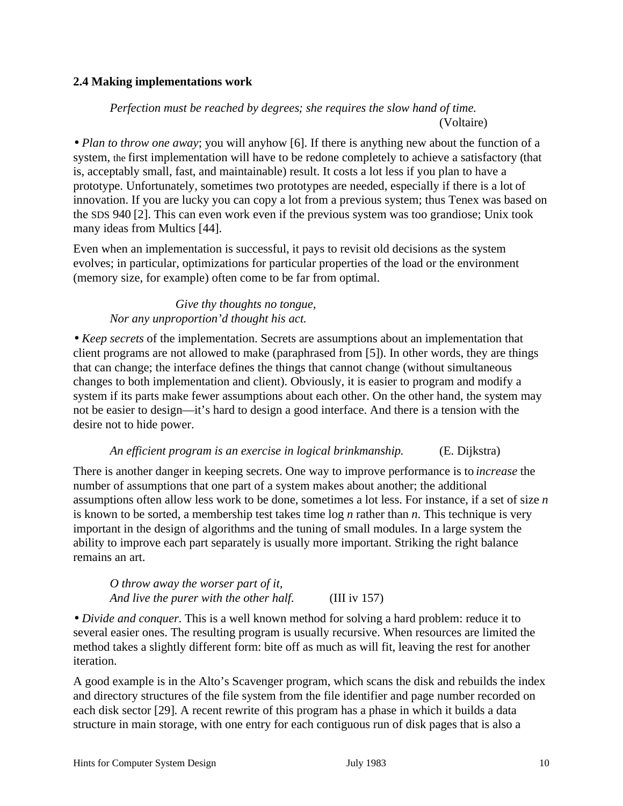### **2.4 Making implementations work**

*Perfection must be reached by degrees; she requires the slow hand of time.* (Voltaire)

• *Plan to throw one away*; you will anyhow [6]. If there is anything new about the function of a system, the first implementation will have to be redone completely to achieve a satisfactory (that is, acceptably small, fast, and maintainable) result. It costs a lot less if you plan to have a prototype. Unfortunately, sometimes two prototypes are needed, especially if there is a lot of innovation. If you are lucky you can copy a lot from a previous system; thus Tenex was based on the SDS 940 [2]. This can even work even if the previous system was too grandiose; Unix took many ideas from Multics [44].

Even when an implementation is successful, it pays to revisit old decisions as the system evolves; in particular, optimizations for particular properties of the load or the environment (memory size, for example) often come to be far from optimal.

 *Give thy thoughts no tongue, Nor any unproportion'd thought his act.*

• *Keep secrets* of the implementation. Secrets are assumptions about an implementation that client programs are not allowed to make (paraphrased from [5]). In other words, they are things that can change; the interface defines the things that cannot change (without simultaneous changes to both implementation and client). Obviously, it is easier to program and modify a system if its parts make fewer assumptions about each other. On the other hand, the system may not be easier to design—it's hard to design a good interface. And there is a tension with the desire not to hide power.

#### *An efficient program is an exercise in logical brinkmanship.* (E. Dijkstra)

There is another danger in keeping secrets. One way to improve performance is to *increase* the number of assumptions that one part of a system makes about another; the additional assumptions often allow less work to be done, sometimes a lot less. For instance, if a set of size *n* is known to be sorted, a membership test takes time log *n* rather than *n*. This technique is very important in the design of algorithms and the tuning of small modules. In a large system the ability to improve each part separately is usually more important. Striking the right balance remains an art.

#### *O throw away the worser part of it, And live the purer with the other half.* (III iv 157)

• *Divide and conquer*. This is a well known method for solving a hard problem: reduce it to several easier ones. The resulting program is usually recursive. When resources are limited the method takes a slightly different form: bite off as much as will fit, leaving the rest for another iteration.

A good example is in the Alto's Scavenger program, which scans the disk and rebuilds the index and directory structures of the file system from the file identifier and page number recorded on each disk sector [29]. A recent rewrite of this program has a phase in which it builds a data structure in main storage, with one entry for each contiguous run of disk pages that is also a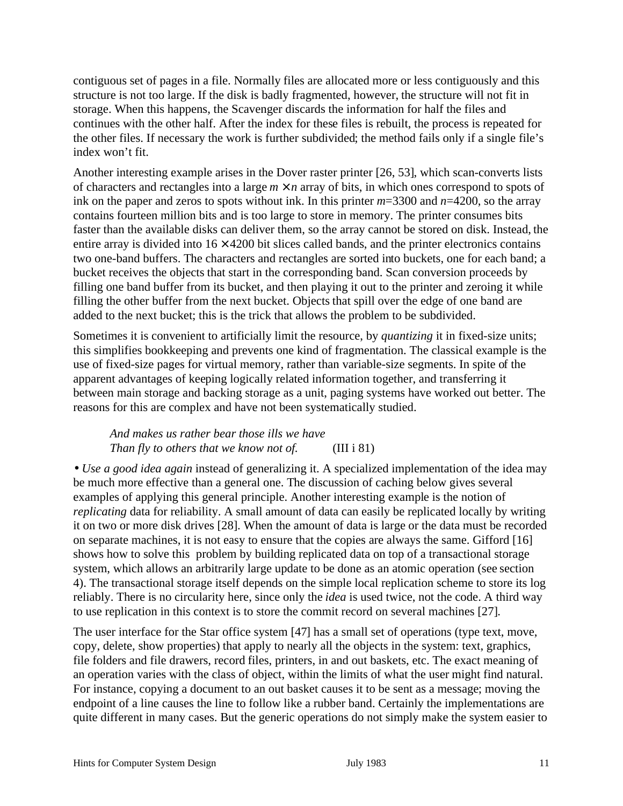contiguous set of pages in a file. Normally files are allocated more or less contiguously and this structure is not too large. If the disk is badly fragmented, however, the structure will not fit in storage. When this happens, the Scavenger discards the information for half the files and continues with the other half. After the index for these files is rebuilt, the process is repeated for the other files. If necessary the work is further subdivided; the method fails only if a single file's index won't fit.

Another interesting example arises in the Dover raster printer [26, 53], which scan-converts lists of characters and rectangles into a large  $m \times n$  array of bits, in which ones correspond to spots of ink on the paper and zeros to spots without ink. In this printer *m*=3300 and *n*=4200, so the array contains fourteen million bits and is too large to store in memory. The printer consumes bits faster than the available disks can deliver them, so the array cannot be stored on disk. Instead, the entire array is divided into  $16 \times 4200$  bit slices called bands, and the printer electronics contains two one-band buffers. The characters and rectangles are sorted into buckets, one for each band; a bucket receives the objects that start in the corresponding band. Scan conversion proceeds by filling one band buffer from its bucket, and then playing it out to the printer and zeroing it while filling the other buffer from the next bucket. Objects that spill over the edge of one band are added to the next bucket; this is the trick that allows the problem to be subdivided.

Sometimes it is convenient to artificially limit the resource, by *quantizing* it in fixed-size units; this simplifies bookkeeping and prevents one kind of fragmentation. The classical example is the use of fixed-size pages for virtual memory, rather than variable-size segments. In spite of the apparent advantages of keeping logically related information together, and transferring it between main storage and backing storage as a unit, paging systems have worked out better. The reasons for this are complex and have not been systematically studied.

### *And makes us rather bear those ills we have Than fly to others that we know not of.* (III i 81)

• *Use a good idea again* instead of generalizing it. A specialized implementation of the idea may be much more effective than a general one. The discussion of caching below gives several examples of applying this general principle. Another interesting example is the notion of *replicating* data for reliability. A small amount of data can easily be replicated locally by writing it on two or more disk drives [28]. When the amount of data is large or the data must be recorded on separate machines, it is not easy to ensure that the copies are always the same. Gifford [16] shows how to solve this problem by building replicated data on top of a transactional storage system, which allows an arbitrarily large update to be done as an atomic operation (see section 4). The transactional storage itself depends on the simple local replication scheme to store its log reliably. There is no circularity here, since only the *idea* is used twice, not the code. A third way to use replication in this context is to store the commit record on several machines [27].

The user interface for the Star office system [47] has a small set of operations (type text, move, copy, delete, show properties) that apply to nearly all the objects in the system: text, graphics, file folders and file drawers, record files, printers, in and out baskets, etc. The exact meaning of an operation varies with the class of object, within the limits of what the user might find natural. For instance, copying a document to an out basket causes it to be sent as a message; moving the endpoint of a line causes the line to follow like a rubber band. Certainly the implementations are quite different in many cases. But the generic operations do not simply make the system easier to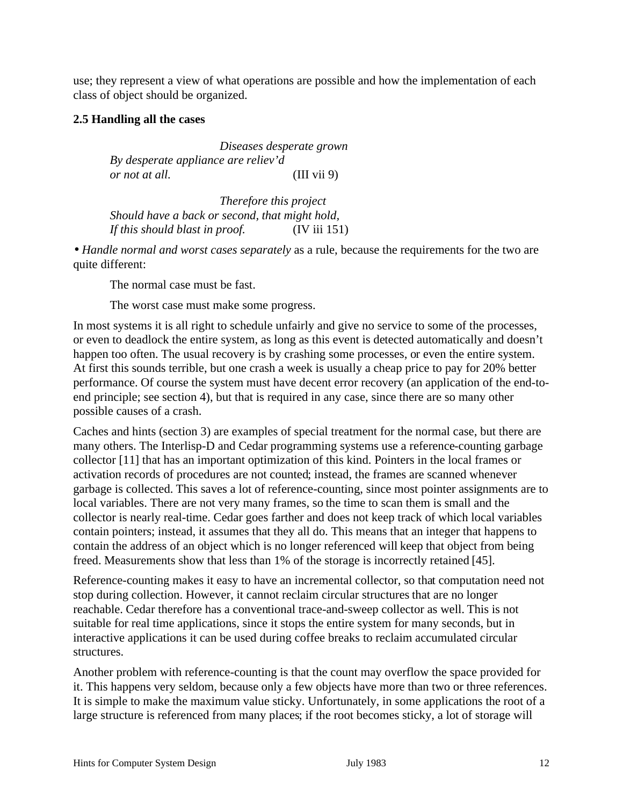use; they represent a view of what operations are possible and how the implementation of each class of object should be organized.

### **2.5 Handling all the cases**

*Diseases desperate grown By desperate appliance are reliev'd or not at all.* (III vii 9)

*Therefore this project Should have a back or second, that might hold, If this should blast in proof.* (IV iii 151)

• *Handle normal and worst cases separately* as a rule, because the requirements for the two are quite different:

The normal case must be fast.

The worst case must make some progress.

In most systems it is all right to schedule unfairly and give no service to some of the processes, or even to deadlock the entire system, as long as this event is detected automatically and doesn't happen too often. The usual recovery is by crashing some processes, or even the entire system. At first this sounds terrible, but one crash a week is usually a cheap price to pay for 20% better performance. Of course the system must have decent error recovery (an application of the end-toend principle; see section 4), but that is required in any case, since there are so many other possible causes of a crash.

Caches and hints (section 3) are examples of special treatment for the normal case, but there are many others. The Interlisp-D and Cedar programming systems use a reference-counting garbage collector [11] that has an important optimization of this kind. Pointers in the local frames or activation records of procedures are not counted; instead, the frames are scanned whenever garbage is collected. This saves a lot of reference-counting, since most pointer assignments are to local variables. There are not very many frames, so the time to scan them is small and the collector is nearly real-time. Cedar goes farther and does not keep track of which local variables contain pointers; instead, it assumes that they all do. This means that an integer that happens to contain the address of an object which is no longer referenced will keep that object from being freed. Measurements show that less than 1% of the storage is incorrectly retained [45].

Reference-counting makes it easy to have an incremental collector, so that computation need not stop during collection. However, it cannot reclaim circular structures that are no longer reachable. Cedar therefore has a conventional trace-and-sweep collector as well. This is not suitable for real time applications, since it stops the entire system for many seconds, but in interactive applications it can be used during coffee breaks to reclaim accumulated circular structures.

Another problem with reference-counting is that the count may overflow the space provided for it. This happens very seldom, because only a few objects have more than two or three references. It is simple to make the maximum value sticky. Unfortunately, in some applications the root of a large structure is referenced from many places; if the root becomes sticky, a lot of storage will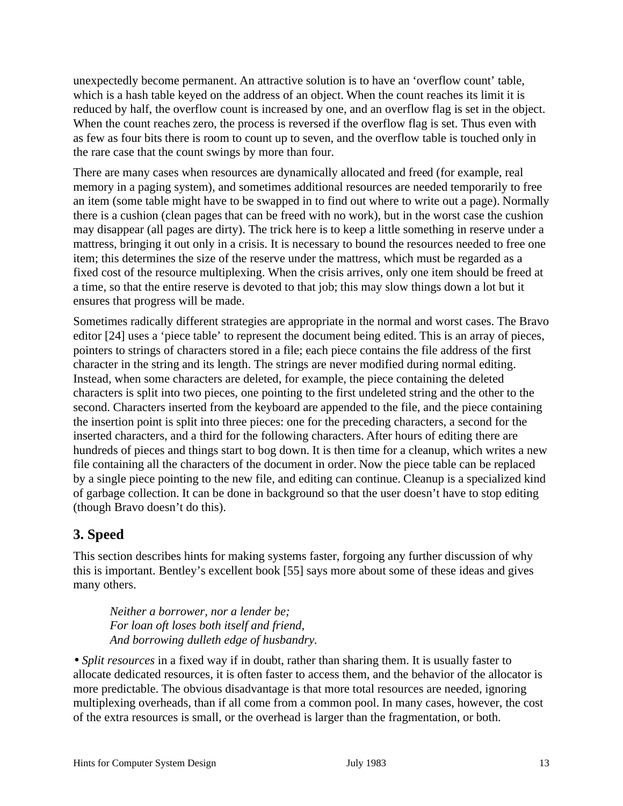unexpectedly become permanent. An attractive solution is to have an 'overflow count' table, which is a hash table keyed on the address of an object. When the count reaches its limit it is reduced by half, the overflow count is increased by one, and an overflow flag is set in the object. When the count reaches zero, the process is reversed if the overflow flag is set. Thus even with as few as four bits there is room to count up to seven, and the overflow table is touched only in the rare case that the count swings by more than four.

There are many cases when resources are dynamically allocated and freed (for example, real memory in a paging system), and sometimes additional resources are needed temporarily to free an item (some table might have to be swapped in to find out where to write out a page). Normally there is a cushion (clean pages that can be freed with no work), but in the worst case the cushion may disappear (all pages are dirty). The trick here is to keep a little something in reserve under a mattress, bringing it out only in a crisis. It is necessary to bound the resources needed to free one item; this determines the size of the reserve under the mattress, which must be regarded as a fixed cost of the resource multiplexing. When the crisis arrives, only one item should be freed at a time, so that the entire reserve is devoted to that job; this may slow things down a lot but it ensures that progress will be made.

Sometimes radically different strategies are appropriate in the normal and worst cases. The Bravo editor [24] uses a 'piece table' to represent the document being edited. This is an array of pieces, pointers to strings of characters stored in a file; each piece contains the file address of the first character in the string and its length. The strings are never modified during normal editing. Instead, when some characters are deleted, for example, the piece containing the deleted characters is split into two pieces, one pointing to the first undeleted string and the other to the second. Characters inserted from the keyboard are appended to the file, and the piece containing the insertion point is split into three pieces: one for the preceding characters, a second for the inserted characters, and a third for the following characters. After hours of editing there are hundreds of pieces and things start to bog down. It is then time for a cleanup, which writes a new file containing all the characters of the document in order. Now the piece table can be replaced by a single piece pointing to the new file, and editing can continue. Cleanup is a specialized kind of garbage collection. It can be done in background so that the user doesn't have to stop editing (though Bravo doesn't do this).

# **3. Speed**

This section describes hints for making systems faster, forgoing any further discussion of why this is important. Bentley's excellent book [55] says more about some of these ideas and gives many others.

*Neither a borrower, nor a lender be; For loan oft loses both itself and friend, And borrowing dulleth edge of husbandry.*

• *Split resources* in a fixed way if in doubt, rather than sharing them. It is usually faster to allocate dedicated resources, it is often faster to access them, and the behavior of the allocator is more predictable. The obvious disadvantage is that more total resources are needed, ignoring multiplexing overheads, than if all come from a common pool. In many cases, however, the cost of the extra resources is small, or the overhead is larger than the fragmentation, or both.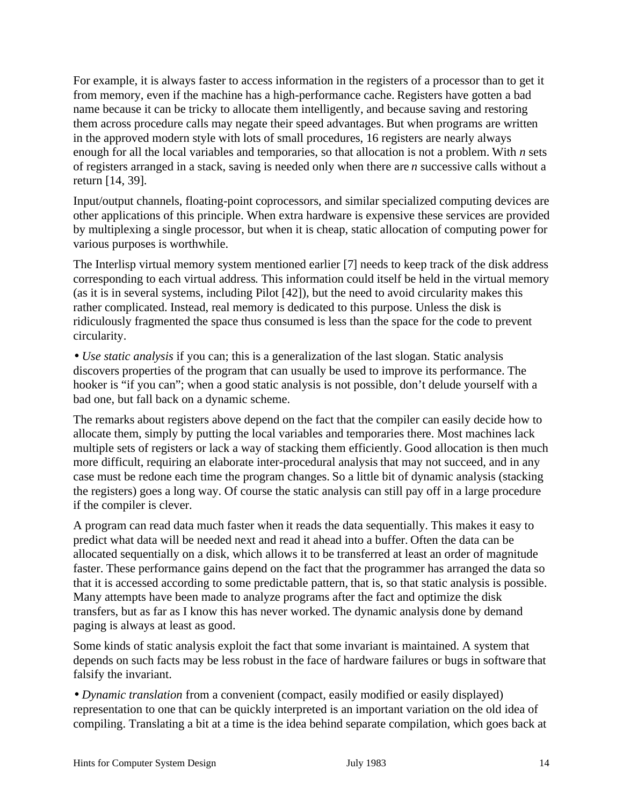For example, it is always faster to access information in the registers of a processor than to get it from memory, even if the machine has a high-performance cache. Registers have gotten a bad name because it can be tricky to allocate them intelligently, and because saving and restoring them across procedure calls may negate their speed advantages. But when programs are written in the approved modern style with lots of small procedures, 16 registers are nearly always enough for all the local variables and temporaries, so that allocation is not a problem. With *n* sets of registers arranged in a stack, saving is needed only when there are *n* successive calls without a return [14, 39].

Input/output channels, floating-point coprocessors, and similar specialized computing devices are other applications of this principle. When extra hardware is expensive these services are provided by multiplexing a single processor, but when it is cheap, static allocation of computing power for various purposes is worthwhile.

The Interlisp virtual memory system mentioned earlier [7] needs to keep track of the disk address corresponding to each virtual address. This information could itself be held in the virtual memory (as it is in several systems, including Pilot [42]), but the need to avoid circularity makes this rather complicated. Instead, real memory is dedicated to this purpose. Unless the disk is ridiculously fragmented the space thus consumed is less than the space for the code to prevent circularity.

• *Use static analysis* if you can; this is a generalization of the last slogan. Static analysis discovers properties of the program that can usually be used to improve its performance. The hooker is "if you can"; when a good static analysis is not possible, don't delude yourself with a bad one, but fall back on a dynamic scheme.

The remarks about registers above depend on the fact that the compiler can easily decide how to allocate them, simply by putting the local variables and temporaries there. Most machines lack multiple sets of registers or lack a way of stacking them efficiently. Good allocation is then much more difficult, requiring an elaborate inter-procedural analysis that may not succeed, and in any case must be redone each time the program changes. So a little bit of dynamic analysis (stacking the registers) goes a long way. Of course the static analysis can still pay off in a large procedure if the compiler is clever.

A program can read data much faster when it reads the data sequentially. This makes it easy to predict what data will be needed next and read it ahead into a buffer. Often the data can be allocated sequentially on a disk, which allows it to be transferred at least an order of magnitude faster. These performance gains depend on the fact that the programmer has arranged the data so that it is accessed according to some predictable pattern, that is, so that static analysis is possible. Many attempts have been made to analyze programs after the fact and optimize the disk transfers, but as far as I know this has never worked. The dynamic analysis done by demand paging is always at least as good.

Some kinds of static analysis exploit the fact that some invariant is maintained. A system that depends on such facts may be less robust in the face of hardware failures or bugs in software that falsify the invariant.

• *Dynamic translation* from a convenient (compact, easily modified or easily displayed) representation to one that can be quickly interpreted is an important variation on the old idea of compiling. Translating a bit at a time is the idea behind separate compilation, which goes back at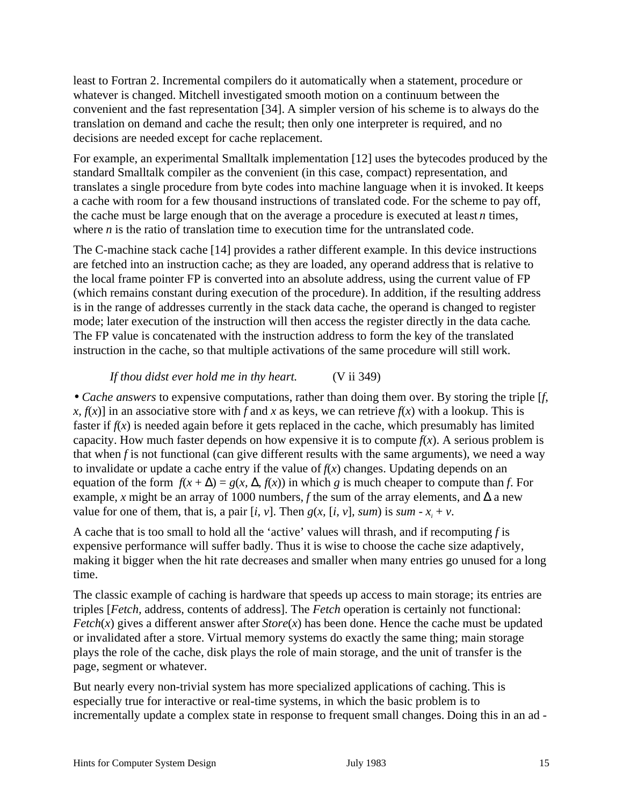least to Fortran 2. Incremental compilers do it automatically when a statement, procedure or whatever is changed. Mitchell investigated smooth motion on a continuum between the convenient and the fast representation [34]. A simpler version of his scheme is to always do the translation on demand and cache the result; then only one interpreter is required, and no decisions are needed except for cache replacement.

For example, an experimental Smalltalk implementation [12] uses the bytecodes produced by the standard Smalltalk compiler as the convenient (in this case, compact) representation, and translates a single procedure from byte codes into machine language when it is invoked. It keeps a cache with room for a few thousand instructions of translated code. For the scheme to pay off, the cache must be large enough that on the average a procedure is executed at least *n* times, where *n* is the ratio of translation time to execution time for the untranslated code.

The C-machine stack cache [14] provides a rather different example. In this device instructions are fetched into an instruction cache; as they are loaded, any operand address that is relative to the local frame pointer FP is converted into an absolute address, using the current value of FP (which remains constant during execution of the procedure). In addition, if the resulting address is in the range of addresses currently in the stack data cache, the operand is changed to register mode; later execution of the instruction will then access the register directly in the data cache. The FP value is concatenated with the instruction address to form the key of the translated instruction in the cache, so that multiple activations of the same procedure will still work.

### *If thou didst ever hold me in thy heart.* (V ii 349)

• *Cache answers* to expensive computations, rather than doing them over. By storing the triple [*f*, *x*,  $f(x)$  in an associative store with *f* and *x* as keys, we can retrieve  $f(x)$  with a lookup. This is faster if  $f(x)$  is needed again before it gets replaced in the cache, which presumably has limited capacity. How much faster depends on how expensive it is to compute  $f(x)$ . A serious problem is that when *f* is not functional (can give different results with the same arguments), we need a way to invalidate or update a cache entry if the value of  $f(x)$  changes. Updating depends on an equation of the form  $f(x + \Delta) = g(x, \Delta, f(x))$  in which *g* is much cheaper to compute than *f*. For example, *x* might be an array of 1000 numbers, *f* the sum of the array elements, and  $\Delta$  a new value for one of them, that is, a pair  $[i, v]$ . Then  $g(x, [i, v]$ , sum) is sum -  $x_i + v$ .

A cache that is too small to hold all the 'active' values will thrash, and if recomputing *f* is expensive performance will suffer badly. Thus it is wise to choose the cache size adaptively, making it bigger when the hit rate decreases and smaller when many entries go unused for a long time.

The classic example of caching is hardware that speeds up access to main storage; its entries are triples [*Fetch,* address, contents of address]. The *Fetch* operation is certainly not functional: *Fetch*( $x$ ) gives a different answer after *Store*( $x$ ) has been done. Hence the cache must be updated or invalidated after a store. Virtual memory systems do exactly the same thing; main storage plays the role of the cache, disk plays the role of main storage, and the unit of transfer is the page, segment or whatever.

But nearly every non-trivial system has more specialized applications of caching. This is especially true for interactive or real-time systems, in which the basic problem is to incrementally update a complex state in response to frequent small changes. Doing this in an ad -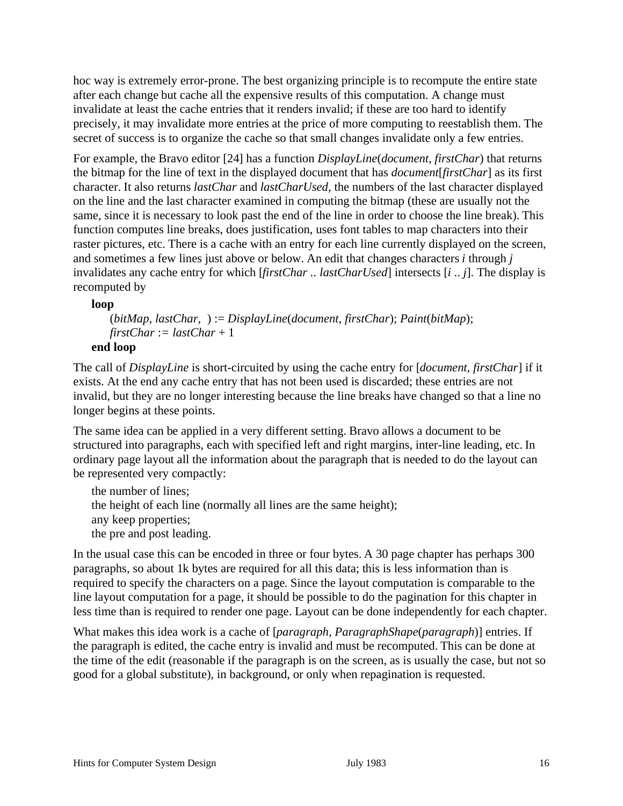hoc way is extremely error-prone. The best organizing principle is to recompute the entire state after each change but cache all the expensive results of this computation. A change must invalidate at least the cache entries that it renders invalid; if these are too hard to identify precisely, it may invalidate more entries at the price of more computing to reestablish them. The secret of success is to organize the cache so that small changes invalidate only a few entries.

For example, the Bravo editor [24] has a function *DisplayLine*(*document, firstChar*) that returns the bitmap for the line of text in the displayed document that has *document*[*firstChar*] as its first character. It also returns *lastChar* and *lastCharUsed,* the numbers of the last character displayed on the line and the last character examined in computing the bitmap (these are usually not the same, since it is necessary to look past the end of the line in order to choose the line break). This function computes line breaks, does justification, uses font tables to map characters into their raster pictures, etc. There is a cache with an entry for each line currently displayed on the screen, and sometimes a few lines just above or below. An edit that changes characters *i* through *j* invalidates any cache entry for which [*firstChar .. lastCharUsed*] intersects [*i* .. *j*]. The display is recomputed by

### **loop**

```
(bitMap, lastChar, ) := DisplayLine(document, firstChar); Paint(bitMap);
firstChar := lastChar + 1
```
### **end loop**

The call of *DisplayLine* is short-circuited by using the cache entry for [*document, firstChar*] if it exists. At the end any cache entry that has not been used is discarded; these entries are not invalid, but they are no longer interesting because the line breaks have changed so that a line no longer begins at these points.

The same idea can be applied in a very different setting. Bravo allows a document to be structured into paragraphs, each with specified left and right margins, inter-line leading, etc. In ordinary page layout all the information about the paragraph that is needed to do the layout can be represented very compactly:

the number of lines; the height of each line (normally all lines are the same height); any keep properties; the pre and post leading.

In the usual case this can be encoded in three or four bytes. A 30 page chapter has perhaps 300 paragraphs, so about 1k bytes are required for all this data; this is less information than is required to specify the characters on a page. Since the layout computation is comparable to the line layout computation for a page, it should be possible to do the pagination for this chapter in less time than is required to render one page. Layout can be done independently for each chapter.

What makes this idea work is a cache of [*paragraph, ParagraphShape*(*paragraph*)] entries. If the paragraph is edited, the cache entry is invalid and must be recomputed. This can be done at the time of the edit (reasonable if the paragraph is on the screen, as is usually the case, but not so good for a global substitute), in background, or only when repagination is requested.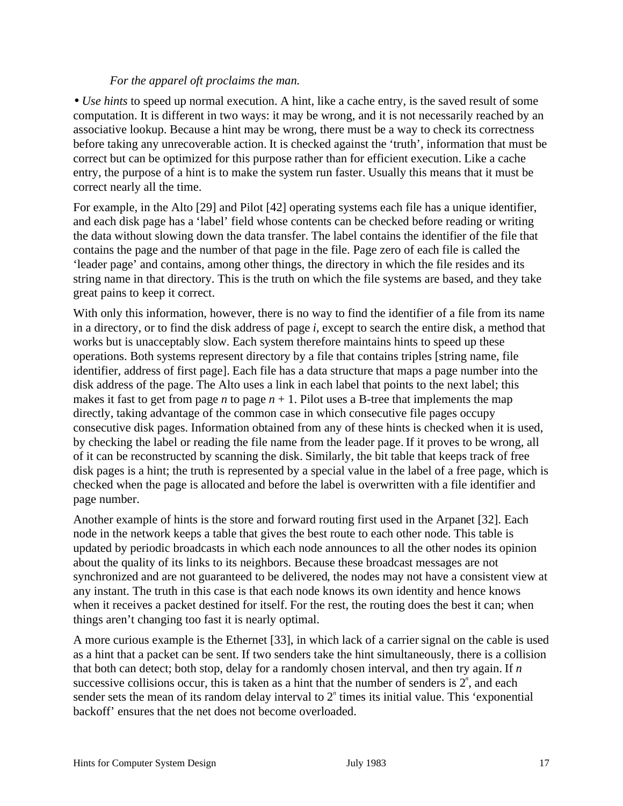### *For the apparel oft proclaims the man.*

• *Use hints* to speed up normal execution. A hint, like a cache entry, is the saved result of some computation. It is different in two ways: it may be wrong, and it is not necessarily reached by an associative lookup. Because a hint may be wrong, there must be a way to check its correctness before taking any unrecoverable action. It is checked against the 'truth', information that must be correct but can be optimized for this purpose rather than for efficient execution. Like a cache entry, the purpose of a hint is to make the system run faster. Usually this means that it must be correct nearly all the time.

For example, in the Alto [29] and Pilot [42] operating systems each file has a unique identifier, and each disk page has a 'label' field whose contents can be checked before reading or writing the data without slowing down the data transfer. The label contains the identifier of the file that contains the page and the number of that page in the file. Page zero of each file is called the 'leader page' and contains, among other things, the directory in which the file resides and its string name in that directory. This is the truth on which the file systems are based, and they take great pains to keep it correct.

With only this information, however, there is no way to find the identifier of a file from its name in a directory, or to find the disk address of page *i*, except to search the entire disk, a method that works but is unacceptably slow. Each system therefore maintains hints to speed up these operations. Both systems represent directory by a file that contains triples [string name, file identifier, address of first page]. Each file has a data structure that maps a page number into the disk address of the page. The Alto uses a link in each label that points to the next label; this makes it fast to get from page *n* to page  $n + 1$ . Pilot uses a B-tree that implements the map directly, taking advantage of the common case in which consecutive file pages occupy consecutive disk pages. Information obtained from any of these hints is checked when it is used, by checking the label or reading the file name from the leader page. If it proves to be wrong, all of it can be reconstructed by scanning the disk. Similarly, the bit table that keeps track of free disk pages is a hint; the truth is represented by a special value in the label of a free page, which is checked when the page is allocated and before the label is overwritten with a file identifier and page number.

Another example of hints is the store and forward routing first used in the Arpanet [32]. Each node in the network keeps a table that gives the best route to each other node. This table is updated by periodic broadcasts in which each node announces to all the other nodes its opinion about the quality of its links to its neighbors. Because these broadcast messages are not synchronized and are not guaranteed to be delivered, the nodes may not have a consistent view at any instant. The truth in this case is that each node knows its own identity and hence knows when it receives a packet destined for itself. For the rest, the routing does the best it can; when things aren't changing too fast it is nearly optimal.

A more curious example is the Ethernet [33], in which lack of a carrier signal on the cable is used as a hint that a packet can be sent. If two senders take the hint simultaneously, there is a collision that both can detect; both stop, delay for a randomly chosen interval, and then try again. If *n* successive collisions occur, this is taken as a hint that the number of senders is  $2^n$ , and each sender sets the mean of its random delay interval to 2<sup>n</sup> times its initial value. This 'exponential backoff' ensures that the net does not become overloaded.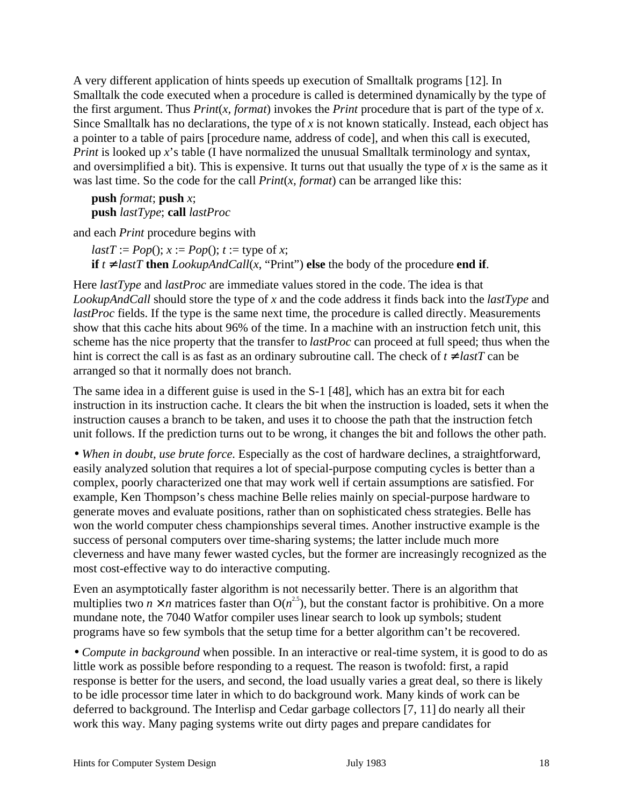A very different application of hints speeds up execution of Smalltalk programs [12]. In Smalltalk the code executed when a procedure is called is determined dynamically by the type of the first argument. Thus  $Print(x, format)$  invokes the *Print* procedure that is part of the type of *x*. Since Smalltalk has no declarations, the type of *x* is not known statically. Instead, each object has a pointer to a table of pairs [procedure name, address of code], and when this call is executed, *Print* is looked up x's table (I have normalized the unusual Smalltalk terminology and syntax, and oversimplified a bit). This is expensive. It turns out that usually the type of  $x$  is the same as it was last time. So the code for the call *Print*(*x, format*) can be arranged like this:

**push** *format*; **push** *x*; **push** *lastType*; **call** *lastProc*

and each *Print* procedure begins with

*lastT* :=  $Pop($ ;  $x$  :=  $Pop($ ;  $t$  := type of *x*; **if**  $t ≠ lastT$  **then**  $LookupAndCall(x, "Print")$  **else** the body of the procedure **end if**.

Here *lastType* and *lastProc* are immediate values stored in the code. The idea is that *LookupAndCall* should store the type of *x* and the code address it finds back into the *lastType* and *lastProc* fields. If the type is the same next time, the procedure is called directly. Measurements show that this cache hits about 96% of the time. In a machine with an instruction fetch unit, this scheme has the nice property that the transfer to *lastProc* can proceed at full speed; thus when the hint is correct the call is as fast as an ordinary subroutine call. The check of  $t \neq lastT$  can be arranged so that it normally does not branch.

The same idea in a different guise is used in the S-1 [48], which has an extra bit for each instruction in its instruction cache. It clears the bit when the instruction is loaded, sets it when the instruction causes a branch to be taken, and uses it to choose the path that the instruction fetch unit follows. If the prediction turns out to be wrong, it changes the bit and follows the other path.

• *When in doubt, use brute force.* Especially as the cost of hardware declines, a straightforward, easily analyzed solution that requires a lot of special-purpose computing cycles is better than a complex, poorly characterized one that may work well if certain assumptions are satisfied. For example, Ken Thompson's chess machine Belle relies mainly on special-purpose hardware to generate moves and evaluate positions, rather than on sophisticated chess strategies. Belle has won the world computer chess championships several times. Another instructive example is the success of personal computers over time-sharing systems; the latter include much more cleverness and have many fewer wasted cycles, but the former are increasingly recognized as the most cost-effective way to do interactive computing.

Even an asymptotically faster algorithm is not necessarily better. There is an algorithm that multiplies two  $n \times n$  matrices faster than  $O(n^{2.5})$ , but the constant factor is prohibitive. On a more mundane note, the 7040 Watfor compiler uses linear search to look up symbols; student programs have so few symbols that the setup time for a better algorithm can't be recovered.

• *Compute in background* when possible. In an interactive or real-time system, it is good to do as little work as possible before responding to a request. The reason is twofold: first, a rapid response is better for the users, and second, the load usually varies a great deal, so there is likely to be idle processor time later in which to do background work. Many kinds of work can be deferred to background. The Interlisp and Cedar garbage collectors [7, 11] do nearly all their work this way. Many paging systems write out dirty pages and prepare candidates for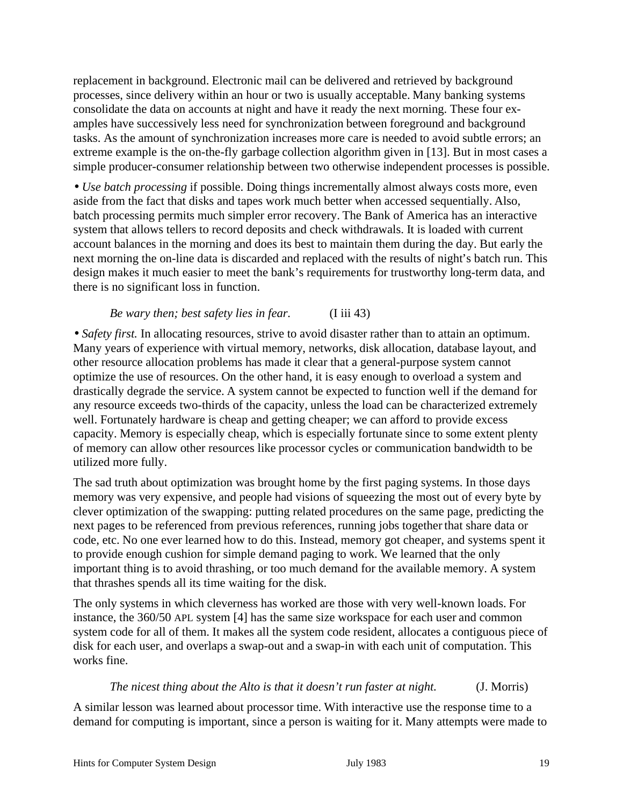replacement in background. Electronic mail can be delivered and retrieved by background processes, since delivery within an hour or two is usually acceptable. Many banking systems consolidate the data on accounts at night and have it ready the next morning. These four examples have successively less need for synchronization between foreground and background tasks. As the amount of synchronization increases more care is needed to avoid subtle errors; an extreme example is the on-the-fly garbage collection algorithm given in [13]. But in most cases a simple producer-consumer relationship between two otherwise independent processes is possible.

• *Use batch processing* if possible. Doing things incrementally almost always costs more, even aside from the fact that disks and tapes work much better when accessed sequentially. Also, batch processing permits much simpler error recovery. The Bank of America has an interactive system that allows tellers to record deposits and check withdrawals. It is loaded with current account balances in the morning and does its best to maintain them during the day. But early the next morning the on-line data is discarded and replaced with the results of night's batch run. This design makes it much easier to meet the bank's requirements for trustworthy long-term data, and there is no significant loss in function.

### *Be wary then; best safety lies in fear.* (I iii 43)

• *Safety first.* In allocating resources, strive to avoid disaster rather than to attain an optimum. Many years of experience with virtual memory, networks, disk allocation, database layout, and other resource allocation problems has made it clear that a general-purpose system cannot optimize the use of resources. On the other hand, it is easy enough to overload a system and drastically degrade the service. A system cannot be expected to function well if the demand for any resource exceeds two-thirds of the capacity, unless the load can be characterized extremely well. Fortunately hardware is cheap and getting cheaper; we can afford to provide excess capacity. Memory is especially cheap, which is especially fortunate since to some extent plenty of memory can allow other resources like processor cycles or communication bandwidth to be utilized more fully.

The sad truth about optimization was brought home by the first paging systems. In those days memory was very expensive, and people had visions of squeezing the most out of every byte by clever optimization of the swapping: putting related procedures on the same page, predicting the next pages to be referenced from previous references, running jobs together that share data or code, etc. No one ever learned how to do this. Instead, memory got cheaper, and systems spent it to provide enough cushion for simple demand paging to work. We learned that the only important thing is to avoid thrashing, or too much demand for the available memory. A system that thrashes spends all its time waiting for the disk.

The only systems in which cleverness has worked are those with very well-known loads. For instance, the 360/50 APL system [4] has the same size workspace for each user and common system code for all of them. It makes all the system code resident, allocates a contiguous piece of disk for each user, and overlaps a swap-out and a swap-in with each unit of computation. This works fine.

### *The nicest thing about the Alto is that it doesn't run faster at night.* (J. Morris)

A similar lesson was learned about processor time. With interactive use the response time to a demand for computing is important, since a person is waiting for it. Many attempts were made to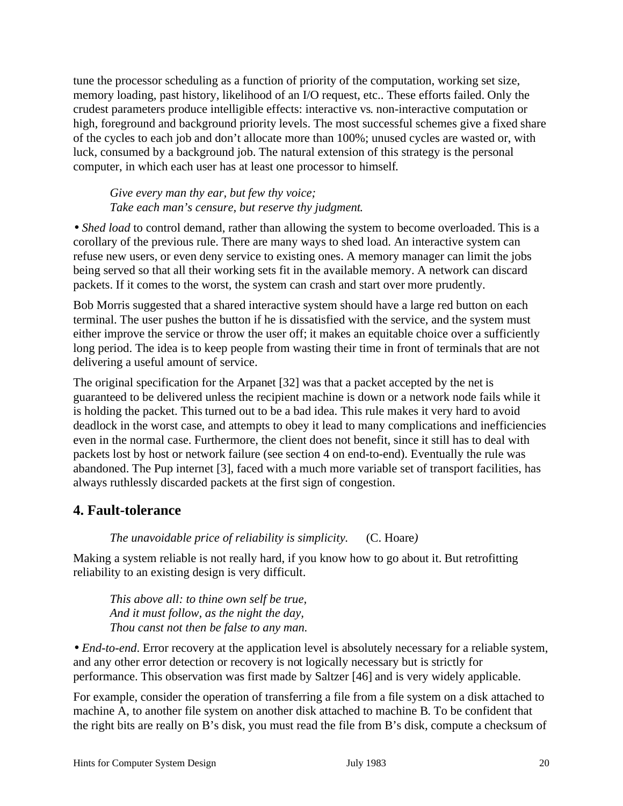tune the processor scheduling as a function of priority of the computation, working set size, memory loading, past history, likelihood of an I/O request, etc.. These efforts failed. Only the crudest parameters produce intelligible effects: interactive vs. non-interactive computation or high, foreground and background priority levels. The most successful schemes give a fixed share of the cycles to each job and don't allocate more than 100%; unused cycles are wasted or, with luck, consumed by a background job. The natural extension of this strategy is the personal computer, in which each user has at least one processor to himself.

*Give every man thy ear, but few thy voice; Take each man's censure, but reserve thy judgment.*

• *Shed load* to control demand, rather than allowing the system to become overloaded. This is a corollary of the previous rule. There are many ways to shed load. An interactive system can refuse new users, or even deny service to existing ones. A memory manager can limit the jobs being served so that all their working sets fit in the available memory. A network can discard packets. If it comes to the worst, the system can crash and start over more prudently.

Bob Morris suggested that a shared interactive system should have a large red button on each terminal. The user pushes the button if he is dissatisfied with the service, and the system must either improve the service or throw the user off; it makes an equitable choice over a sufficiently long period. The idea is to keep people from wasting their time in front of terminals that are not delivering a useful amount of service.

The original specification for the Arpanet [32] was that a packet accepted by the net is guaranteed to be delivered unless the recipient machine is down or a network node fails while it is holding the packet. This turned out to be a bad idea. This rule makes it very hard to avoid deadlock in the worst case, and attempts to obey it lead to many complications and inefficiencies even in the normal case. Furthermore, the client does not benefit, since it still has to deal with packets lost by host or network failure (see section 4 on end-to-end). Eventually the rule was abandoned. The Pup internet [3], faced with a much more variable set of transport facilities, has always ruthlessly discarded packets at the first sign of congestion.

### **4. Fault-tolerance**

*The unavoidable price of reliability is simplicity.* (C. Hoare*)*

Making a system reliable is not really hard, if you know how to go about it. But retrofitting reliability to an existing design is very difficult.

*This above all: to thine own self be true, And it must follow, as the night the day, Thou canst not then be false to any man.*

• *End-to-end*. Error recovery at the application level is absolutely necessary for a reliable system, and any other error detection or recovery is not logically necessary but is strictly for performance. This observation was first made by Saltzer [46] and is very widely applicable.

For example, consider the operation of transferring a file from a file system on a disk attached to machine A, to another file system on another disk attached to machine B. To be confident that the right bits are really on B's disk, you must read the file from B's disk, compute a checksum of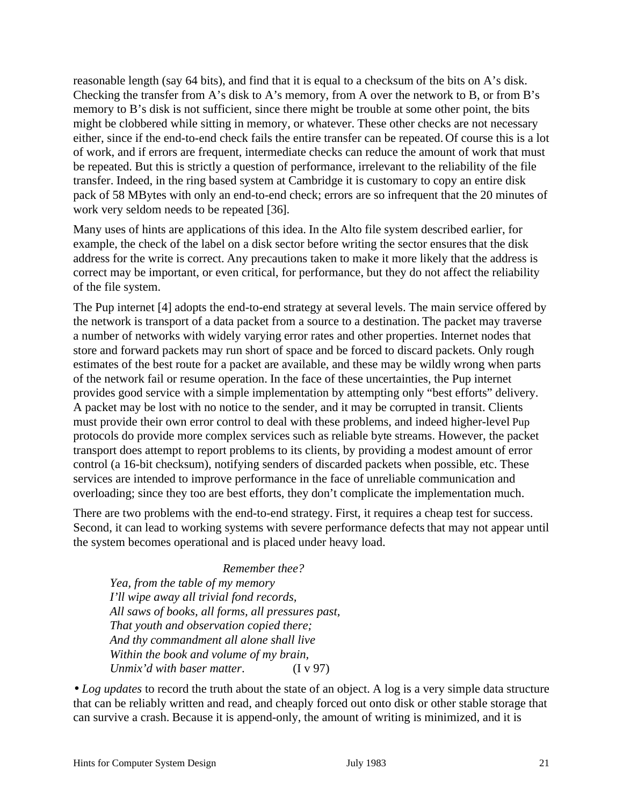reasonable length (say 64 bits), and find that it is equal to a checksum of the bits on A's disk. Checking the transfer from A's disk to A's memory, from A over the network to B, or from B's memory to B's disk is not sufficient, since there might be trouble at some other point, the bits might be clobbered while sitting in memory, or whatever. These other checks are not necessary either, since if the end-to-end check fails the entire transfer can be repeated. Of course this is a lot of work, and if errors are frequent, intermediate checks can reduce the amount of work that must be repeated. But this is strictly a question of performance, irrelevant to the reliability of the file transfer. Indeed, in the ring based system at Cambridge it is customary to copy an entire disk pack of 58 MBytes with only an end-to-end check; errors are so infrequent that the 20 minutes of work very seldom needs to be repeated [36].

Many uses of hints are applications of this idea. In the Alto file system described earlier, for example, the check of the label on a disk sector before writing the sector ensures that the disk address for the write is correct. Any precautions taken to make it more likely that the address is correct may be important, or even critical, for performance, but they do not affect the reliability of the file system.

The Pup internet [4] adopts the end-to-end strategy at several levels. The main service offered by the network is transport of a data packet from a source to a destination. The packet may traverse a number of networks with widely varying error rates and other properties. Internet nodes that store and forward packets may run short of space and be forced to discard packets. Only rough estimates of the best route for a packet are available, and these may be wildly wrong when parts of the network fail or resume operation. In the face of these uncertainties, the Pup internet provides good service with a simple implementation by attempting only "best efforts" delivery. A packet may be lost with no notice to the sender, and it may be corrupted in transit. Clients must provide their own error control to deal with these problems, and indeed higher-level Pup protocols do provide more complex services such as reliable byte streams. However, the packet transport does attempt to report problems to its clients, by providing a modest amount of error control (a 16-bit checksum), notifying senders of discarded packets when possible, etc. These services are intended to improve performance in the face of unreliable communication and overloading; since they too are best efforts, they don't complicate the implementation much.

There are two problems with the end-to-end strategy. First, it requires a cheap test for success. Second, it can lead to working systems with severe performance defects that may not appear until the system becomes operational and is placed under heavy load.

 *Remember thee? Yea, from the table of my memory I'll wipe away all trivial fond records, All saws of books, all forms, all pressures past, That youth and observation copied there; And thy commandment all alone shall live Within the book and volume of my brain, Unmix'd with baser matter.* (I v 97)

• *Log updates* to record the truth about the state of an object. A log is a very simple data structure that can be reliably written and read, and cheaply forced out onto disk or other stable storage that can survive a crash. Because it is append-only, the amount of writing is minimized, and it is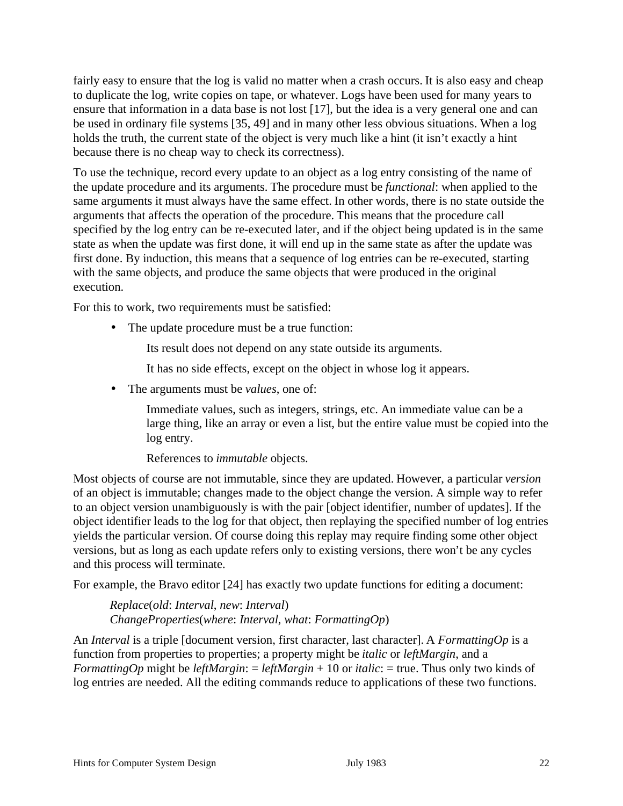fairly easy to ensure that the log is valid no matter when a crash occurs. It is also easy and cheap to duplicate the log, write copies on tape, or whatever. Logs have been used for many years to ensure that information in a data base is not lost [17], but the idea is a very general one and can be used in ordinary file systems [35, 49] and in many other less obvious situations. When a log holds the truth, the current state of the object is very much like a hint (it isn't exactly a hint because there is no cheap way to check its correctness).

To use the technique, record every update to an object as a log entry consisting of the name of the update procedure and its arguments. The procedure must be *functional*: when applied to the same arguments it must always have the same effect. In other words, there is no state outside the arguments that affects the operation of the procedure. This means that the procedure call specified by the log entry can be re-executed later, and if the object being updated is in the same state as when the update was first done, it will end up in the same state as after the update was first done. By induction, this means that a sequence of log entries can be re-executed, starting with the same objects, and produce the same objects that were produced in the original execution.

For this to work, two requirements must be satisfied:

• The update procedure must be a true function:

Its result does not depend on any state outside its arguments.

It has no side effects, except on the object in whose log it appears.

• The arguments must be *values*, one of:

Immediate values, such as integers, strings, etc. An immediate value can be a large thing, like an array or even a list, but the entire value must be copied into the log entry.

References to *immutable* objects.

Most objects of course are not immutable, since they are updated. However, a particular *version* of an object is immutable; changes made to the object change the version. A simple way to refer to an object version unambiguously is with the pair [object identifier, number of updates]. If the object identifier leads to the log for that object, then replaying the specified number of log entries yields the particular version. Of course doing this replay may require finding some other object versions, but as long as each update refers only to existing versions, there won't be any cycles and this process will terminate.

For example, the Bravo editor [24] has exactly two update functions for editing a document:

*Replace*(*old*: *Interval*, *new*: *Interval*) *ChangeProperties*(*where*: *Interval*, *what*: *FormattingOp*)

An *Interval* is a triple [document version, first character, last character]. A *FormattingOp* is a function from properties to properties; a property might be *italic* or *leftMargin*, and a *FormattingOp* might be *leftMargin*: = *leftMargin* + 10 or *italic*: = true. Thus only two kinds of log entries are needed. All the editing commands reduce to applications of these two functions.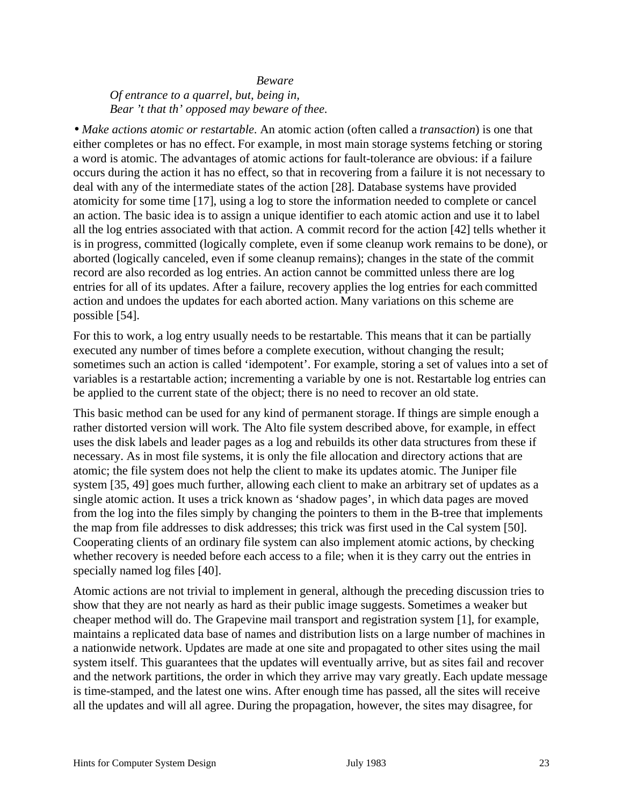#### *Beware Of entrance to a quarrel, but, being in, Bear 't that th' opposed may beware of thee.*

• *Make actions atomic or restartable*. An atomic action (often called a *transaction*) is one that either completes or has no effect. For example, in most main storage systems fetching or storing a word is atomic. The advantages of atomic actions for fault-tolerance are obvious: if a failure occurs during the action it has no effect, so that in recovering from a failure it is not necessary to deal with any of the intermediate states of the action [28]. Database systems have provided atomicity for some time [17], using a log to store the information needed to complete or cancel an action. The basic idea is to assign a unique identifier to each atomic action and use it to label all the log entries associated with that action. A commit record for the action [42] tells whether it is in progress, committed (logically complete, even if some cleanup work remains to be done), or aborted (logically canceled, even if some cleanup remains); changes in the state of the commit record are also recorded as log entries. An action cannot be committed unless there are log entries for all of its updates. After a failure, recovery applies the log entries for each committed action and undoes the updates for each aborted action. Many variations on this scheme are possible [54].

For this to work, a log entry usually needs to be restartable. This means that it can be partially executed any number of times before a complete execution, without changing the result; sometimes such an action is called 'idempotent'. For example, storing a set of values into a set of variables is a restartable action; incrementing a variable by one is not. Restartable log entries can be applied to the current state of the object; there is no need to recover an old state.

This basic method can be used for any kind of permanent storage. If things are simple enough a rather distorted version will work. The Alto file system described above, for example, in effect uses the disk labels and leader pages as a log and rebuilds its other data structures from these if necessary. As in most file systems, it is only the file allocation and directory actions that are atomic; the file system does not help the client to make its updates atomic. The Juniper file system [35, 49] goes much further, allowing each client to make an arbitrary set of updates as a single atomic action. It uses a trick known as 'shadow pages', in which data pages are moved from the log into the files simply by changing the pointers to them in the B-tree that implements the map from file addresses to disk addresses; this trick was first used in the Cal system [50]. Cooperating clients of an ordinary file system can also implement atomic actions, by checking whether recovery is needed before each access to a file; when it is they carry out the entries in specially named log files [40].

Atomic actions are not trivial to implement in general, although the preceding discussion tries to show that they are not nearly as hard as their public image suggests. Sometimes a weaker but cheaper method will do. The Grapevine mail transport and registration system [1], for example, maintains a replicated data base of names and distribution lists on a large number of machines in a nationwide network. Updates are made at one site and propagated to other sites using the mail system itself. This guarantees that the updates will eventually arrive, but as sites fail and recover and the network partitions, the order in which they arrive may vary greatly. Each update message is time-stamped, and the latest one wins. After enough time has passed, all the sites will receive all the updates and will all agree. During the propagation, however, the sites may disagree, for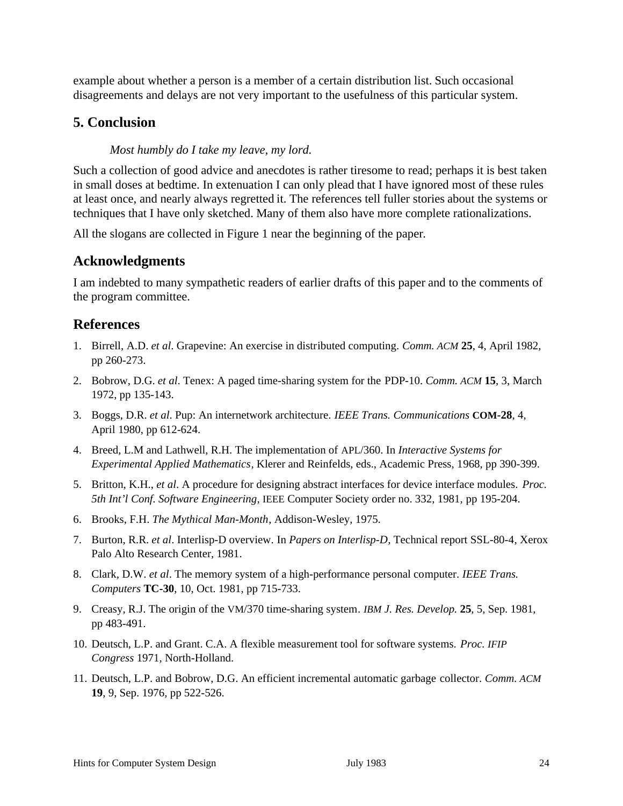example about whether a person is a member of a certain distribution list. Such occasional disagreements and delays are not very important to the usefulness of this particular system.

### **5. Conclusion**

### *Most humbly do I take my leave, my lord.*

Such a collection of good advice and anecdotes is rather tiresome to read; perhaps it is best taken in small doses at bedtime. In extenuation I can only plead that I have ignored most of these rules at least once, and nearly always regretted it. The references tell fuller stories about the systems or techniques that I have only sketched. Many of them also have more complete rationalizations.

All the slogans are collected in Figure 1 near the beginning of the paper.

# **Acknowledgments**

I am indebted to many sympathetic readers of earlier drafts of this paper and to the comments of the program committee.

# **References**

- 1. Birrell, A.D. *et al*. Grapevine: An exercise in distributed computing. *Comm. ACM* **25**, 4, April 1982, pp 260-273.
- 2. Bobrow, D.G. *et al*. Tenex: A paged time-sharing system for the PDP-10. *Comm. ACM* **15**, 3, March 1972, pp 135-143.
- 3. Boggs, D.R. *et al*. Pup: An internetwork architecture. *IEEE Trans. Communications* **COM-28**, 4, April 1980, pp 612-624.
- 4. Breed, L.M and Lathwell, R.H. The implementation of APL/360. In *Interactive Systems for Experimental Applied Mathematics*, Klerer and Reinfelds, eds., Academic Press, 1968, pp 390-399.
- 5. Britton, K.H., *et al*. A procedure for designing abstract interfaces for device interface modules. *Proc. 5th Int'l Conf. Software Engineering*, IEEE Computer Society order no. 332, 1981, pp 195-204.
- 6. Brooks, F.H. *The Mythical Man-Month*, Addison-Wesley, 1975.
- 7. Burton, R.R. *et al*. Interlisp-D overview. In *Papers on Interlisp-D,* Technical report SSL-80-4, Xerox Palo Alto Research Center, 1981.
- 8. Clark, D.W. *et al*. The memory system of a high-performance personal computer. *IEEE Trans. Computers* **TC-30**, 10, Oct. 1981, pp 715-733.
- 9. Creasy, R.J. The origin of the VM/370 time-sharing system*. IBM J. Res. Develop.* **25**, 5, Sep. 1981, pp 483-491.
- 10. Deutsch, L.P. and Grant. C.A. A flexible measurement tool for software systems. *Proc. IFIP Congress* 1971, North-Holland.
- 11. Deutsch, L.P. and Bobrow, D.G. An efficient incremental automatic garbage collector. *Comm. ACM* **19**, 9, Sep. 1976, pp 522-526.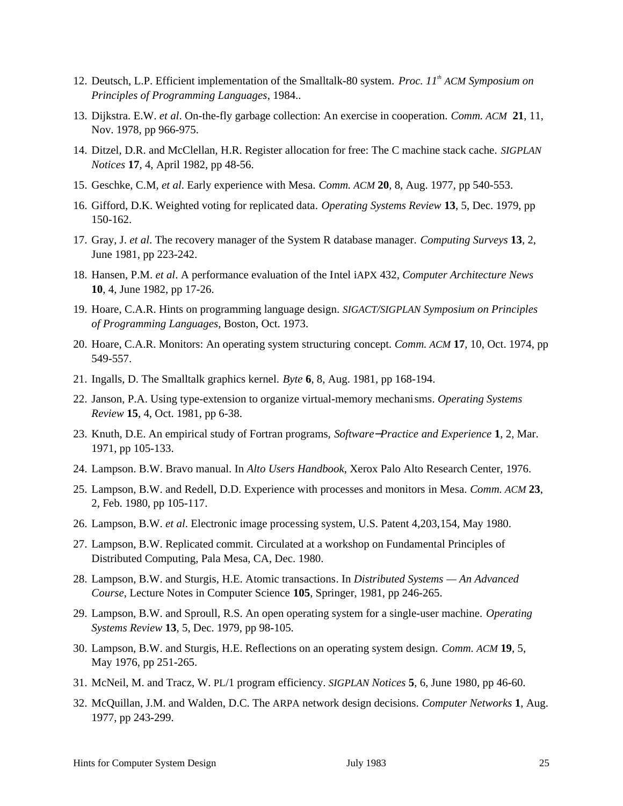- 12. Deutsch, L.P. Efficient implementation of the Smalltalk-80 system. *Proc. 11th ACM Symposium on Principles of Programming Languages*, 1984..
- 13. Dijkstra. E.W. *et al*. On-the-fly garbage collection: An exercise in cooperation. *Comm. ACM* **21**, 11, Nov. 1978, pp 966-975.
- 14. Ditzel, D.R. and McClellan, H.R. Register allocation for free: The C machine stack cache. *SIGPLAN Notices* **17**, 4, April 1982, pp 48-56.
- 15. Geschke, C.M, *et al*. Early experience with Mesa. *Comm. ACM* **20**, 8, Aug. 1977, pp 540-553.
- 16. Gifford, D.K. Weighted voting for replicated data. *Operating Systems Review* **13**, 5, Dec. 1979, pp 150-162.
- 17. Gray, J. *et al*. The recovery manager of the System R database manager. *Computing Surveys* **13**, 2, June 1981, pp 223-242.
- 18. Hansen, P.M. *et al*. A performance evaluation of the Intel iAPX 432, *Computer Architecture News* **10**, 4, June 1982, pp 17-26.
- 19. Hoare, C.A.R. Hints on programming language design. *SIGACT/SIGPLAN Symposium on Principles of Programming Languages*, Boston, Oct. 1973.
- 20. Hoare, C.A.R. Monitors: An operating system structuring concept. *Comm. ACM* **17**, 10, Oct. 1974, pp 549-557.
- 21. Ingalls, D. The Smalltalk graphics kernel. *Byte* **6**, 8, Aug. 1981, pp 168-194.
- 22. Janson, P.A. Using type-extension to organize virtual-memory mechanisms. *Operating Systems Review* **15**, 4, Oct. 1981, pp 6-38.
- 23. Knuth, D.E. An empirical study of Fortran programs, *Software*−*Practice and Experience* **1**, 2, Mar. 1971, pp 105-133.
- 24. Lampson. B.W. Bravo manual. In *Alto Users Handbook*, Xerox Palo Alto Research Center, 1976.
- 25. Lampson, B.W. and Redell, D.D. Experience with processes and monitors in Mesa. *Comm. ACM* **23**, 2, Feb. 1980, pp 105-117.
- 26. Lampson, B.W. *et al*. Electronic image processing system, U.S. Patent 4,203,154, May 1980.
- 27. Lampson, B.W. Replicated commit. Circulated at a workshop on Fundamental Principles of Distributed Computing, Pala Mesa, CA, Dec. 1980.
- 28. Lampson, B.W. and Sturgis, H.E. Atomic transactions. In *Distributed Systems An Advanced Course*, Lecture Notes in Computer Science **105**, Springer, 1981, pp 246-265.
- 29. Lampson, B.W. and Sproull, R.S. An open operating system for a single-user machine. *Operating Systems Review* **13**, 5, Dec. 1979, pp 98-105.
- 30. Lampson, B.W. and Sturgis, H.E. Reflections on an operating system design. *Comm. ACM* **19**, 5, May 1976, pp 251-265.
- 31. McNeil, M. and Tracz, W. PL/1 program efficiency. *SIGPLAN Notices* **5**, 6, June 1980, pp 46-60.
- 32. McQuillan, J.M. and Walden, D.C. The ARPA network design decisions. *Computer Networks* **1**, Aug. 1977, pp 243-299.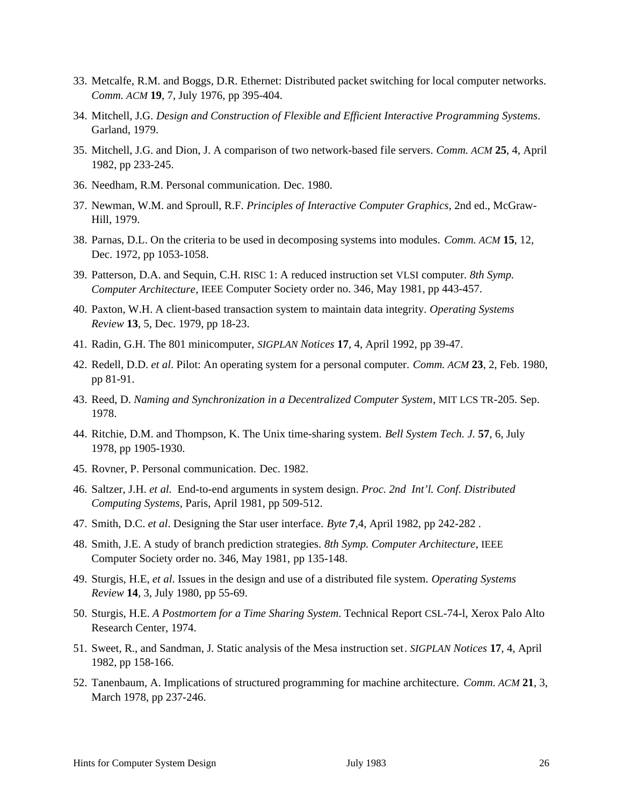- 33. Metcalfe, R.M. and Boggs, D.R. Ethernet: Distributed packet switching for local computer networks. *Comm. ACM* **19**, 7, July 1976, pp 395-404.
- 34. Mitchell, J.G. *Design and Construction of Flexible and Efficient Interactive Programming Systems*. Garland, 1979.
- 35. Mitchell, J.G. and Dion, J. A comparison of two network-based file servers. *Comm. ACM* **25**, 4, April 1982, pp 233-245.
- 36. Needham, R.M. Personal communication. Dec. 1980.
- 37. Newman, W.M. and Sproull, R.F. *Principles of Interactive Computer Graphics*, 2nd ed., McGraw-Hill, 1979.
- 38. Parnas, D.L. On the criteria to be used in decomposing systems into modules. *Comm. ACM* **15**, 12, Dec. 1972, pp 1053-1058.
- 39. Patterson, D.A. and Sequin, C.H. RISC 1: A reduced instruction set VLSI computer*. 8th Symp. Computer Architecture*, IEEE Computer Society order no. 346, May 1981, pp 443-457.
- 40. Paxton, W.H. A client-based transaction system to maintain data integrity. *Operating Systems Review* **13**, 5, Dec. 1979, pp 18-23.
- 41. Radin, G.H. The 801 minicomputer, *SIGPLAN Notices* **17**, 4, April 1992, pp 39-47.
- 42. Redell, D.D. *et al*. Pilot: An operating system for a personal computer. *Comm. ACM* **23**, 2, Feb. 1980, pp 81-91.
- 43. Reed, D. *Naming and Synchronization in a Decentralized Computer System*, MIT LCS TR-205. Sep. 1978.
- 44. Ritchie, D.M. and Thompson, K. The Unix time-sharing system. *Bell System Tech. J.* **57**, 6, July 1978, pp 1905-1930.
- 45. Rovner, P. Personal communication. Dec. 1982.
- 46. Saltzer, J.H. *et al.* End-to-end arguments in system design. *Proc. 2nd Int'l. Conf. Distributed Computing Systems,* Paris, April 1981, pp 509-512.
- 47. Smith, D.C. *et al*. Designing the Star user interface. *Byte* **7**,4, April 1982, pp 242-282 .
- 48. Smith, J.E. A study of branch prediction strategies. *8th Symp. Computer Architecture*, IEEE Computer Society order no. 346, May 1981, pp 135-148.
- 49. Sturgis, H.E, *et al*. Issues in the design and use of a distributed file system. *Operating Systems Review* **14**, 3, July 1980, pp 55-69.
- 50. Sturgis, H.E. *A Postmortem for a Time Sharing System*. Technical Report CSL-74-l, Xerox Palo Alto Research Center, 1974.
- 51. Sweet, R., and Sandman, J. Static analysis of the Mesa instruction set. *SIGPLAN Notices* **17**, 4, April 1982, pp 158-166.
- 52. Tanenbaum, A. Implications of structured programming for machine architecture. *Comm. ACM* **21**, 3, March 1978, pp 237-246.